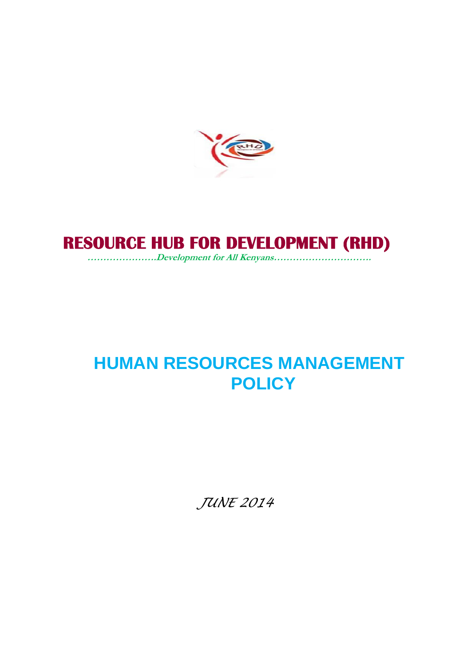

# **RESOURCE HUB FOR DEVELOPMENT (RHD)**

*………………….Development for All Kenyans………………………….*

# **HUMAN RESOURCES MANAGEMENT POLICY**

*JUNE 2014*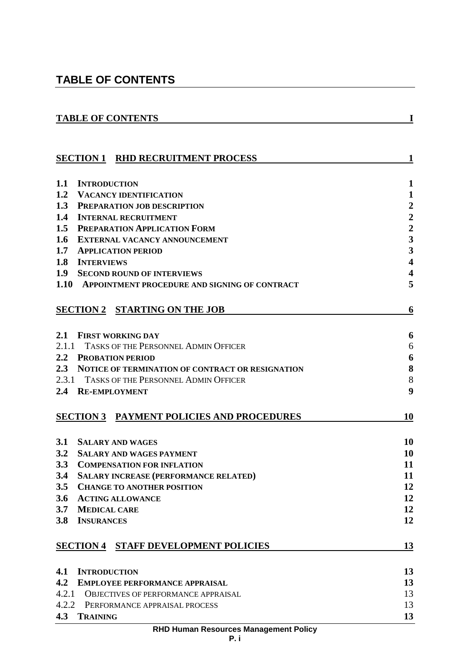# **TABLE OF CONTENTS**

|                                                                                          | I               |
|------------------------------------------------------------------------------------------|-----------------|
|                                                                                          |                 |
| <b>SECTION 1 RHD RECRUITMENT PROCESS</b>                                                 | $\mathbf{1}$    |
| 1.1<br><b>INTRODUCTION</b>                                                               | 1               |
| 1.2 VACANCY IDENTIFICATION                                                               | 1               |
| 1.3<br><b>PREPARATION JOB DESCRIPTION</b>                                                | 2               |
| 1.4<br><b>INTERNAL RECRUITMENT</b>                                                       | $\overline{2}$  |
| 1.5<br>PREPARATION APPLICATION FORM                                                      | $\overline{2}$  |
| 1.6<br><b>EXTERNAL VACANCY ANNOUNCEMENT</b>                                              | 3               |
| 1.7<br><b>APPLICATION PERIOD</b>                                                         | 3               |
| 1.8<br><b>INTERVIEWS</b>                                                                 | 4               |
| 1.9<br><b>SECOND ROUND OF INTERVIEWS</b>                                                 | 4               |
| 1.10 APPOINTMENT PROCEDURE AND SIGNING OF CONTRACT                                       | 5               |
| <b>SECTION 2 STARTING ON THE JOB</b>                                                     | 6               |
| 2.1<br><b>FIRST WORKING DAY</b>                                                          | 6               |
| 2.1.1 TASKS OF THE PERSONNEL ADMIN OFFICER                                               | 6               |
| 2.2 PROBATION PERIOD                                                                     | 6               |
| 2.3 NOTICE OF TERMINATION OF CONTRACT OR RESIGNATION                                     | 8               |
| 2.3.1 TASKS OF THE PERSONNEL ADMIN OFFICER                                               | 8               |
| 2.4<br><b>RE-EMPLOYMENT</b>                                                              | 9               |
|                                                                                          |                 |
| <b>SECTION 3 PAYMENT POLICIES AND PROCEDURES</b>                                         | 10              |
|                                                                                          |                 |
|                                                                                          |                 |
| 3.1 SALARY AND WAGES                                                                     | <b>10</b><br>10 |
| 3.2<br><b>SALARY AND WAGES PAYMENT</b>                                                   |                 |
| 3.3<br><b>COMPENSATION FOR INFLATION</b><br>3.4                                          | 11<br>11        |
| <b>SALARY INCREASE (PERFORMANCE RELATED)</b><br>3.5<br><b>CHANGE TO ANOTHER POSITION</b> | 12              |
| 3.6<br><b>ACTING ALLOWANCE</b>                                                           | 12              |
| 3.7<br><b>MEDICAL CARE</b>                                                               | 12              |
| 3.8<br><b>INSURANCES</b>                                                                 | 12              |
| <b>SECTION 4 STAFF DEVELOPMENT POLICIES</b>                                              | 13              |
|                                                                                          |                 |
| <b>INTRODUCTION</b><br>4.1                                                               | 13              |
| 4.2<br><b>EMPLOYEE PERFORMANCE APPRAISAL</b>                                             | 13              |
| 4.2.1<br><b>OBJECTIVES OF PERFORMANCE APPRAISAL</b>                                      | 13              |
| 4.2.2<br>PERFORMANCE APPRAISAL PROCESS<br>4.3<br><b>TRAINING</b>                         | 13<br>13        |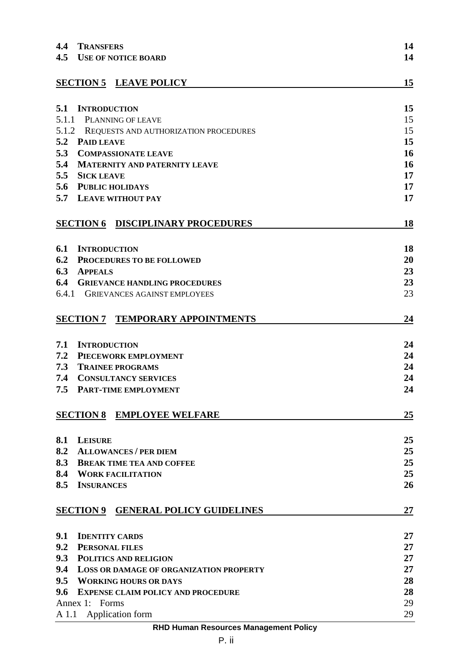| 4.4   | <b>TRANSFERS</b>                               | 14        |
|-------|------------------------------------------------|-----------|
| 4.5   | <b>USE OF NOTICE BOARD</b>                     | 14        |
|       |                                                |           |
|       | <b>SECTION 5 LEAVE POLICY</b>                  | 15        |
|       |                                                |           |
| 5.1   | <b>INTRODUCTION</b>                            | 15        |
|       | 5.1.1 PLANNING OF LEAVE                        | 15        |
|       | 5.1.2 REQUESTS AND AUTHORIZATION PROCEDURES    | 15        |
| 5.2   | <b>PAID LEAVE</b>                              | 15        |
| 5.3   | <b>COMPASSIONATE LEAVE</b>                     | 16        |
| 5.4   | <b>MATERNITY AND PATERNITY LEAVE</b>           | 16        |
| 5.5   | <b>SICK LEAVE</b>                              | 17        |
|       | 5.6 PUBLIC HOLIDAYS                            | 17        |
| 5.7   | <b>LEAVE WITHOUT PAY</b>                       | 17        |
|       | <b>SECTION 6 DISCIPLINARY PROCEDURES</b>       | 18        |
|       |                                                |           |
| 6.1   | <b>INTRODUCTION</b>                            | 18        |
| 6.2   | PROCEDURES TO BE FOLLOWED                      | 20        |
| 6.3   | <b>APPEALS</b>                                 | 23        |
| 6.4   | <b>GRIEVANCE HANDLING PROCEDURES</b>           | 23        |
| 6.4.1 | GRIEVANCES AGAINST EMPLOYEES                   | 23        |
|       |                                                |           |
|       | <b>SECTION 7 TEMPORARY APPOINTMENTS</b>        | 24        |
|       |                                                |           |
| 7.1   | <b>INTRODUCTION</b>                            | 24        |
| 7.2   | PIECEWORK EMPLOYMENT                           | 24        |
| 7.3   | <b>TRAINEE PROGRAMS</b>                        | 24        |
| 7.4   | <b>CONSULTANCY SERVICES</b>                    | 24        |
| 7.5   | PART-TIME EMPLOYMENT                           | 24        |
|       |                                                |           |
|       | <b>SECTION 8 EMPLOYEE WELFARE</b>              | <u>25</u> |
|       |                                                |           |
| 8.1   | <b>LEISURE</b>                                 | 25        |
| 8.2   | <b>ALLOWANCES / PER DIEM</b>                   | 25        |
| 8.3   | <b>BREAK TIME TEA AND COFFEE</b>               | 25        |
| 8.4   | <b>WORK FACILITATION</b>                       | 25        |
|       | <b>8.5 INSURANCES</b>                          | 26        |
|       |                                                |           |
|       | <b>SECTION 9 GENERAL POLICY GUIDELINES</b>     | 27        |
|       |                                                |           |
| 9.1   | <b>IDENTITY CARDS</b>                          | 27        |
| 9.2   | <b>PERSONAL FILES</b>                          | 27        |
| 9.3   | <b>POLITICS AND RELIGION</b>                   | 27        |
| 9.4   | <b>LOSS OR DAMAGE OF ORGANIZATION PROPERTY</b> | 27        |
|       | 9.5 WORKING HOURS OR DAYS                      | 28        |
| 9.6   | <b>EXPENSE CLAIM POLICY AND PROCEDURE</b>      | 28        |
|       | Annex 1: Forms                                 | 29        |
|       | A 1.1 Application form                         | 29        |
|       |                                                |           |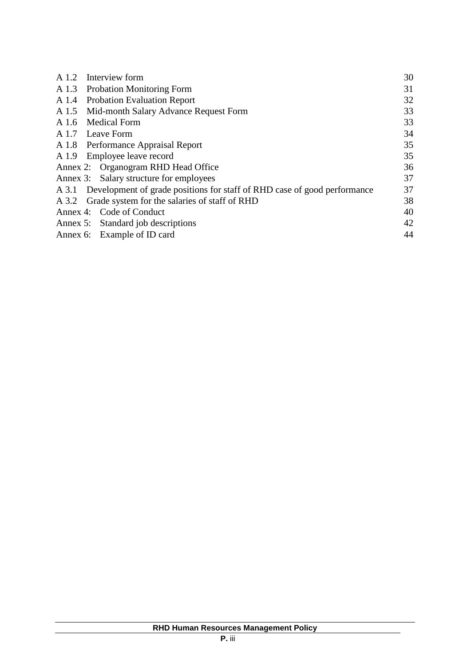|       | A 1.2 Interview form                                                           | 30 |
|-------|--------------------------------------------------------------------------------|----|
|       | A 1.3 Probation Monitoring Form                                                | 31 |
|       | A 1.4 Probation Evaluation Report                                              | 32 |
|       | A 1.5 Mid-month Salary Advance Request Form                                    | 33 |
| A 1.6 | <b>Medical Form</b>                                                            | 33 |
|       | A 1.7 Leave Form                                                               | 34 |
|       | A 1.8 Performance Appraisal Report                                             | 35 |
|       | A 1.9 Employee leave record                                                    | 35 |
|       | Annex 2: Organogram RHD Head Office                                            | 36 |
|       | Annex 3: Salary structure for employees                                        | 37 |
|       | A 3.1 Development of grade positions for staff of RHD case of good performance | 37 |
|       | A 3.2 Grade system for the salaries of staff of RHD                            | 38 |
|       | Annex 4: Code of Conduct                                                       | 40 |
|       | Annex 5: Standard job descriptions                                             | 42 |
|       | Annex 6: Example of ID card                                                    | 44 |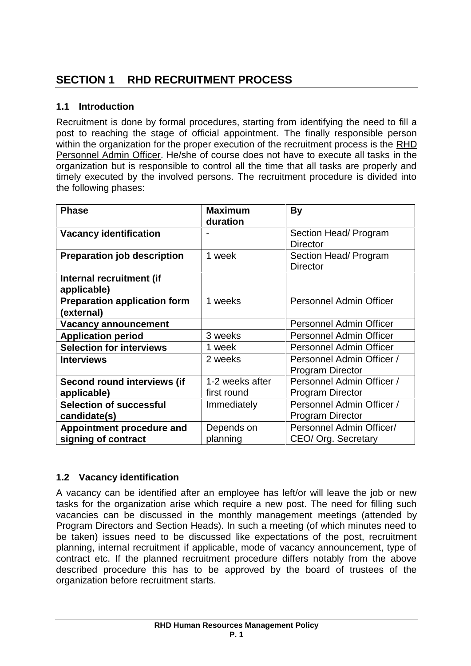# **1.1 Introduction**

Recruitment is done by formal procedures, starting from identifying the need to fill a post to reaching the stage of official appointment. The finally responsible person within the organization for the proper execution of the recruitment process is the RHD Personnel Admin Officer. He/she of course does not have to execute all tasks in the organization but is responsible to control all the time that all tasks are properly and timely executed by the involved persons. The recruitment procedure is divided into the following phases:

| <b>Phase</b>                        | <b>Maximum</b>  | <b>By</b>                      |
|-------------------------------------|-----------------|--------------------------------|
|                                     | duration        |                                |
| <b>Vacancy identification</b>       |                 | Section Head/ Program          |
|                                     |                 | <b>Director</b>                |
| <b>Preparation job description</b>  | 1 week          | Section Head/ Program          |
|                                     |                 | <b>Director</b>                |
| Internal recruitment (if            |                 |                                |
| applicable)                         |                 |                                |
| <b>Preparation application form</b> | 1 weeks         | <b>Personnel Admin Officer</b> |
| (external)                          |                 |                                |
| <b>Vacancy announcement</b>         |                 | Personnel Admin Officer        |
| <b>Application period</b>           | 3 weeks         | Personnel Admin Officer        |
| <b>Selection for interviews</b>     | 1 week          | Personnel Admin Officer        |
| <b>Interviews</b>                   | 2 weeks         | Personnel Admin Officer /      |
|                                     |                 | <b>Program Director</b>        |
| Second round interviews (if         | 1-2 weeks after | Personnel Admin Officer /      |
| applicable)                         | first round     | <b>Program Director</b>        |
| <b>Selection of successful</b>      | Immediately     | Personnel Admin Officer /      |
| candidate(s)                        |                 | <b>Program Director</b>        |
| Appointment procedure and           | Depends on      | Personnel Admin Officer/       |
| signing of contract                 | planning        | CEO/ Org. Secretary            |

# **1.2 Vacancy identification**

A vacancy can be identified after an employee has left/or will leave the job or new tasks for the organization arise which require a new post. The need for filling such vacancies can be discussed in the monthly management meetings (attended by Program Directors and Section Heads). In such a meeting (of which minutes need to be taken) issues need to be discussed like expectations of the post, recruitment planning, internal recruitment if applicable, mode of vacancy announcement, type of contract etc. If the planned recruitment procedure differs notably from the above described procedure this has to be approved by the board of trustees of the organization before recruitment starts.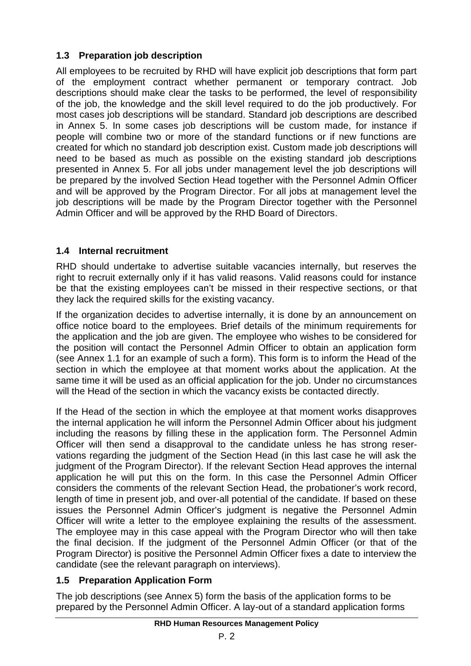# **1.3 Preparation job description**

All employees to be recruited by RHD will have explicit job descriptions that form part of the employment contract whether permanent or temporary contract. Job descriptions should make clear the tasks to be performed, the level of responsibility of the job, the knowledge and the skill level required to do the job productively. For most cases job descriptions will be standard. Standard job descriptions are described in Annex 5. In some cases job descriptions will be custom made, for instance if people will combine two or more of the standard functions or if new functions are created for which no standard job description exist. Custom made job descriptions will need to be based as much as possible on the existing standard job descriptions presented in Annex 5. For all jobs under management level the job descriptions will be prepared by the involved Section Head together with the Personnel Admin Officer and will be approved by the Program Director. For all jobs at management level the job descriptions will be made by the Program Director together with the Personnel Admin Officer and will be approved by the RHD Board of Directors.

# **1.4 Internal recruitment**

RHD should undertake to advertise suitable vacancies internally, but reserves the right to recruit externally only if it has valid reasons. Valid reasons could for instance be that the existing employees can't be missed in their respective sections, or that they lack the required skills for the existing vacancy.

If the organization decides to advertise internally, it is done by an announcement on office notice board to the employees. Brief details of the minimum requirements for the application and the job are given. The employee who wishes to be considered for the position will contact the Personnel Admin Officer to obtain an application form (see Annex 1.1 for an example of such a form). This form is to inform the Head of the section in which the employee at that moment works about the application. At the same time it will be used as an official application for the job. Under no circumstances will the Head of the section in which the vacancy exists be contacted directly.

If the Head of the section in which the employee at that moment works disapproves the internal application he will inform the Personnel Admin Officer about his judgment including the reasons by filling these in the application form. The Personnel Admin Officer will then send a disapproval to the candidate unless he has strong reser vations regarding the judgment of the Section Head (in this last case he will ask the judgment of the Program Director). If the relevant Section Head approves the internal application he will put this on the form. In this case the Personnel Admin Officer considers the comments of the relevant Section Head, the probationer's work record, length of time in present job, and over-all potential of the candidate. If based on these issues the Personnel Admin Officer's judgment is negative the Personnel Admin Officer will write a letter to the employee explaining the results of the assessment. The employee may in this case appeal with the Program Director who will then take the final decision. If the judgment of the Personnel Admin Officer (or that of the Program Director) is positive the Personnel Admin Officer fixes a date to interview the candidate (see the relevant paragraph on interviews).

# **1.5 Preparation Application Form**

The job descriptions (see Annex 5) form the basis of the application forms to be prepared by the Personnel Admin Officer. A lay-out of a standard application forms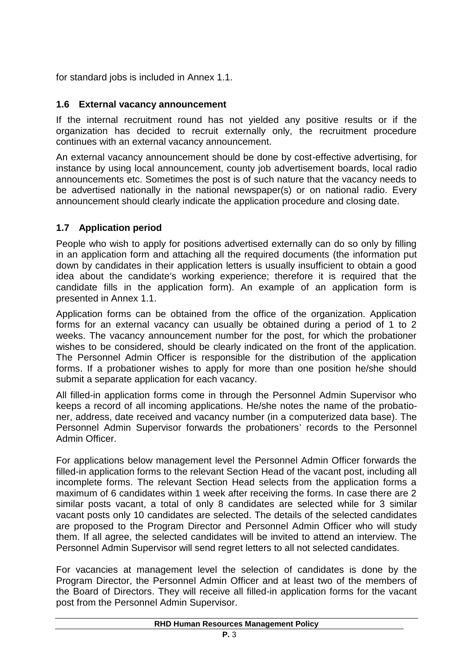for standard jobs is included in Annex 1.1.

# **1.6 External vacancy announcement**

If the internal recruitment round has not yielded any positive results or if the organization has decided to recruit externally only, the recruitment procedure continues with an external vacancy announcement.

An external vacancy announcement should be done by cost-effective advertising, for instance by using local announcement, county job advertisement boards, local radio announcements etc. Sometimes the post is of such nature that the vacancy needs to be advertised nationally in the national newspaper(s) or on national radio. Every announcement should clearly indicate the application procedure and closing date.

# **1.7 Application period**

People who wish to apply for positions advertised externally can do so only by filling in an application form and attaching all the required documents (the information put down by candidates in their application letters is usually insufficient to obtain a good idea about the candidate's working experience; therefore it is required that the candidate fills in the application form). An example of an application form is presented in Annex 1.1.

Application forms can be obtained from the office of the organization. Application forms for an external vacancy can usually be obtained during a period of 1 to 2 weeks. The vacancy announcement number for the post, for which the probationer wishes to be considered, should be clearly indicated on the front of the application. The Personnel Admin Officer is responsible for the distribution of the application forms. If a probationer wishes to apply for more than one position he/she should submit a separate application for each vacancy.

All filled-in application forms come in through the Personnel Admin Supervisor who keeps a record of all incoming applications. He/she notes the name of the probatio ner, address, date received and vacancy number (in a computerized data base). The Personnel Admin Supervisor forwards the probationers' records to the Personnel Admin Officer.

For applications below management level the Personnel Admin Officer forwards the filled-in application forms to the relevant Section Head of the vacant post, including all incomplete forms. The relevant Section Head selects from the application forms a maximum of 6 candidates within 1 week after receiving the forms. In case there are 2 similar posts vacant, a total of only 8 candidates are selected while for 3 similar vacant posts only 10 candidates are selected. The details of the selected candidates are proposed to the Program Director and Personnel Admin Officer who will study them. If all agree, the selected candidates will be invited to attend an interview. The Personnel Admin Supervisor will send regret letters to all not selected candidates.

For vacancies at management level the selection of candidates is done by the Program Director, the Personnel Admin Officer and at least two of the members of the Board of Directors. They will receive all filled-in application forms for the vacant post from the Personnel Admin Supervisor.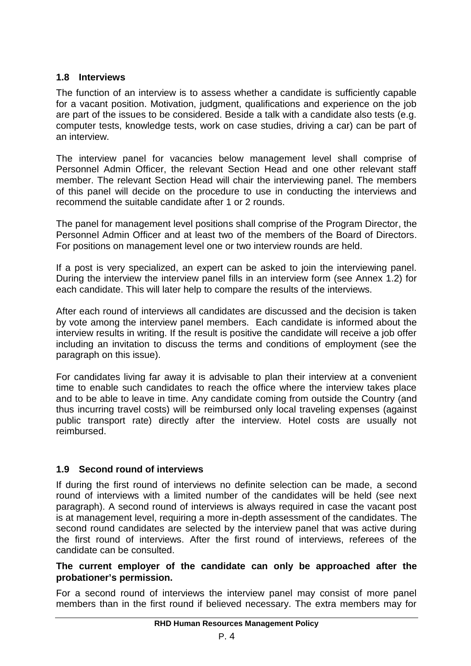# **1.8 Interviews**

The function of an interview is to assess whether a candidate is sufficiently capable for a vacant position. Motivation, judgment, qualifications and experience on the job are part of the issues to be considered. Beside a talk with a candidate also tests (e.g. computer tests, knowledge tests, work on case studies, driving a car) can be part of an interview.

The interview panel for vacancies below management level shall comprise of Personnel Admin Officer, the relevant Section Head and one other relevant staff member. The relevant Section Head will chair the interviewing panel. The members of this panel will decide on the procedure to use in conducting the interviews and recommend the suitable candidate after 1 or 2 rounds.

The panel for management level positions shall comprise of the Program Director, the Personnel Admin Officer and at least two of the members of the Board of Directors. For positions on management level one or two interview rounds are held.

If a post is very specialized, an expert can be asked to join the interviewing panel. During the interview the interview panel fills in an interview form (see Annex 1.2) for each candidate. This will later help to compare the results of the interviews.

After each round of interviews all candidates are discussed and the decision is taken by vote among the interview panel members. Each candidate is informed about the interview results in writing. If the result is positive the candidate will receive a job offer including an invitation to discuss the terms and conditions of employment (see the paragraph on this issue).

For candidates living far away it is advisable to plan their interview at a convenient time to enable such candidates to reach the office where the interview takes place and to be able to leave in time. Any candidate coming from outside the Country (and thus incurring travel costs) will be reimbursed only local traveling expenses (against public transport rate) directly after the interview. Hotel costs are usually not reimbursed.

#### **1.9 Second round of interviews**

If during the first round of interviews no definite selection can be made, a second round of interviews with a limited number of the candidates will be held (see next paragraph). A second round of interviews is always required in case the vacant post is at management level, requiring a more in-depth assessment of the candidates. The second round candidates are selected by the interview panel that was active during the first round of interviews. After the first round of interviews, referees of the candidate can be consulted.

#### **The current employer of the candidate can only be approached after the probationer's permission.**

For a second round of interviews the interview panel may consist of more panel members than in the first round if believed necessary. The extra members may for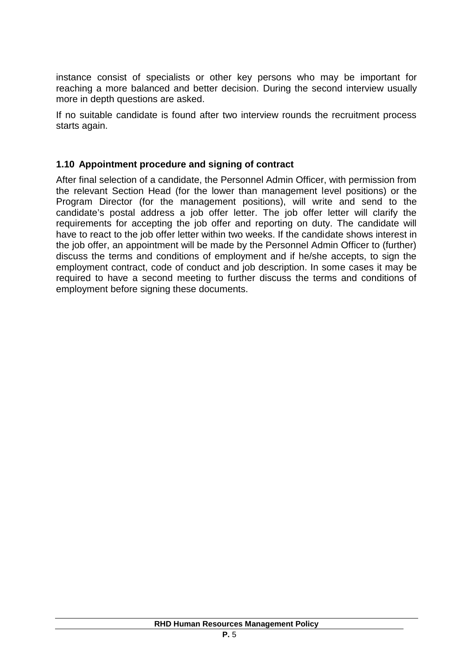instance consist of specialists or other key persons who may be important for reaching a more balanced and better decision. During the second interview usually more in depth questions are asked.

If no suitable candidate is found after two interview rounds the recruitment process starts again.

#### **1.10 Appointment procedure and signing of contract**

After final selection of a candidate, the Personnel Admin Officer, with permission from the relevant Section Head (for the lower than management level positions) or the Program Director (for the management positions), will write and send to the candidate's postal address a job offer letter. The job offer letter will clarify the requirements for accepting the job offer and reporting on duty. The candidate will have to react to the job offer letter within two weeks. If the candidate shows interest in the job offer, an appointment will be made by the Personnel Admin Officer to (further) discuss the terms and conditions of employment and if he/she accepts, to sign the employment contract, code of conduct and job description. In some cases it may be required to have a second meeting to further discuss the terms and conditions of employment before signing these documents.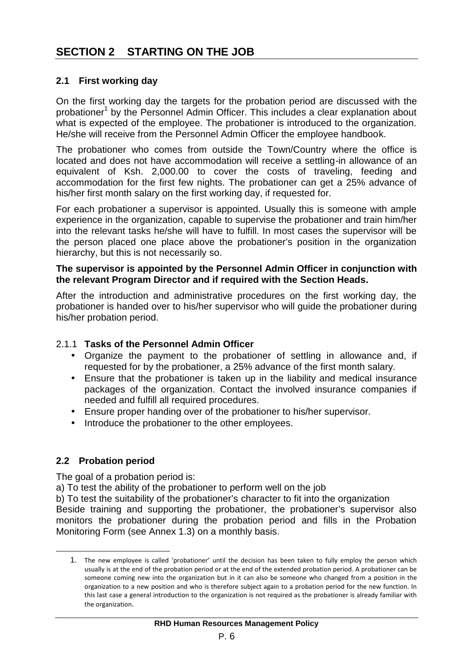#### **2.1 First working day**

On the first working day the targets for the probation period are discussed with the probationer<sup>1</sup> by the Personnel Admin Officer. This includes a clear explanation about what is expected of the employee. The probationer is introduced to the organization. He/she will receive from the Personnel Admin Officer the employee handbook.

The probationer who comes from outside the Town/Country where the office is located and does not have accommodation will receive a settling-in allowance of an equivalent of Ksh. 2,000.00 to cover the costs of traveling, feeding and accommodation for the first few nights. The probationer can get a 25% advance of his/her first month salary on the first working day, if requested for.

For each probationer a supervisor is appointed. Usually this is someone with ample experience in the organization, capable to supervise the probationer and train him/her into the relevant tasks he/she will have to fulfill. In most cases the supervisor will be the person placed one place above the probationer's position in the organization hierarchy, but this is not necessarily so.

#### **The supervisor is appointed by the Personnel Admin Officer in conjunction with the relevant Program Director and if required with the Section Heads.**

After the introduction and administrative procedures on the first working day, the probationer is handed over to his/her supervisor who will guide the probationer during his/her probation period.

#### 2.1.1 **Tasks of the Personnel Admin Officer**

- Organize the payment to the probationer of settling in allowance and, if requested for by the probationer, a 25% advance of the first month salary.
- Ensure that the probationer is taken up in the liability and medical insurance packages of the organization. Contact the involved insurance companies if needed and fulfill all required procedures.
- Ensure proper handing over of the probationer to his/her supervisor.
- Introduce the probationer to the other employees.

#### **2.2 Probation period**

The goal of a probation period is:

a) To test the ability of the probationer to perform well on the job

b) To test the suitability of the probationer's character to fit into the organization

Beside training and supporting the probationer, the probationer's supervisor also monitors the probationer during the probation period and fills in the Probation Monitoring Form (see Annex 1.3) on a monthly basis.

<sup>1.</sup> The new employee is called 'probationer' until the decision has been taken to fully employ the person which usually is at the end of the probation period or at the end of the extended probation period. A probationer can be someone coming new into the organization but in it can also be someone who changed from a position in the organization to a new position and who is therefore subject again to a probation period for the new function. In this last case a general introduction to the organization is not required as the probationer is already familiar with the organization.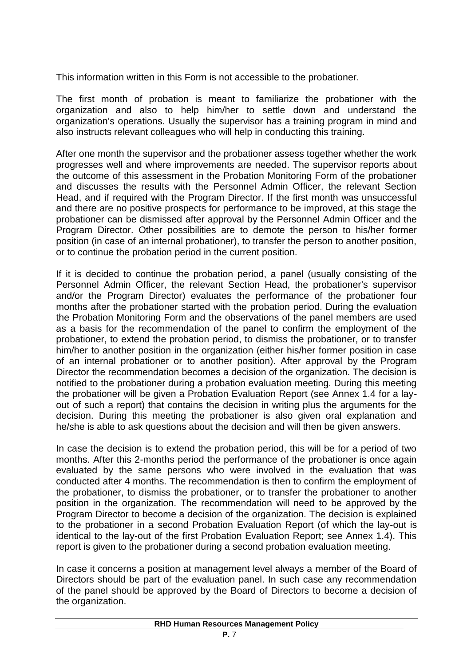This information written in this Form is not accessible to the probationer.

The first month of probation is meant to familiarize the probationer with the organization and also to help him/her to settle down and understand the organization's operations. Usually the supervisor has a training program in mind and also instructs relevant colleagues who will help in conducting this training.

After one month the supervisor and the probationer assess together whether the work progresses well and where improvements are needed. The supervisor reports about the outcome of this assessment in the Probation Monitoring Form of the probationer and discusses the results with the Personnel Admin Officer, the relevant Section Head, and if required with the Program Director. If the first month was unsuccessful and there are no positive prospects for performance to be improved, at this stage the probationer can be dismissed after approval by the Personnel Admin Officer and the Program Director. Other possibilities are to demote the person to his/her former position (in case of an internal probationer), to transfer the person to another position, or to continue the probation period in the current position.

If it is decided to continue the probation period, a panel (usually consisting of the Personnel Admin Officer, the relevant Section Head, the probationer's supervisor and/or the Program Director) evaluates the performance of the probationer four months after the probationer started with the probation period. During the evaluation the Probation Monitoring Form and the observations of the panel members are used as a basis for the recommendation of the panel to confirm the employment of the probationer, to extend the probation period, to dismiss the probationer, or to transfer him/her to another position in the organization (either his/her former position in case of an internal probationer or to another position). After approval by the Program Director the recommendation becomes a decision of the organization. The decision is notified to the probationer during a probation evaluation meeting. During this meeting the probationer will be given a Probation Evaluation Report (see Annex 1.4 for a lay out of such a report) that contains the decision in writing plus the arguments for the decision. During this meeting the probationer is also given oral explanation and he/she is able to ask questions about the decision and will then be given answers.

In case the decision is to extend the probation period, this will be for a period of two months. After this 2-months period the performance of the probationer is once again evaluated by the same persons who were involved in the evaluation that was conducted after 4 months. The recommendation is then to confirm the employment of the probationer, to dismiss the probationer, or to transfer the probationer to another position in the organization. The recommendation will need to be approved by the Program Director to become a decision of the organization. The decision is explained to the probationer in a second Probation Evaluation Report (of which the lay-out is identical to the lay-out of the first Probation Evaluation Report; see Annex 1.4). This report is given to the probationer during a second probation evaluation meeting.

In case it concerns a position at management level always a member of the Board of Directors should be part of the evaluation panel. In such case any recommendation of the panel should be approved by the Board of Directors to become a decision of the organization.

#### **RHD Human Resources Management Policy**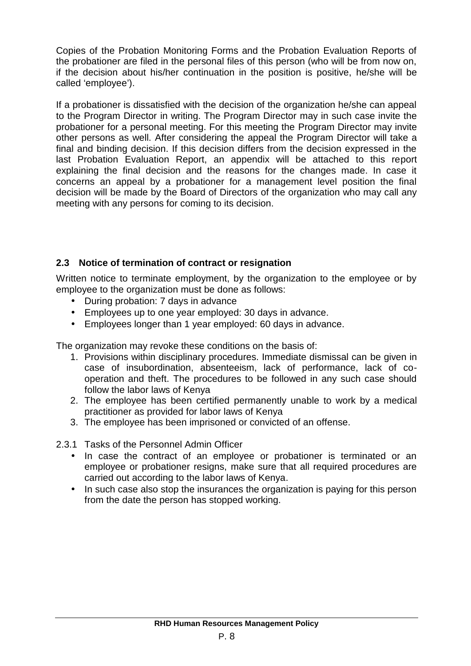Copies of the Probation Monitoring Forms and the Probation Evaluation Reports of the probationer are filed in the personal files of this person (who will be from now on, if the decision about his/her continuation in the position is positive, he/she will be called 'employee').

If a probationer is dissatisfied with the decision of the organization he/she can appeal to the Program Director in writing. The Program Director may in such case invite the probationer for a personal meeting. For this meeting the Program Director may invite other persons as well. After considering the appeal the Program Director will take a final and binding decision. If this decision differs from the decision expressed in the last Probation Evaluation Report, an appendix will be attached to this report explaining the final decision and the reasons for the changes made. In case it concerns an appeal by a probationer for a management level position the final decision will be made by the Board of Directors of the organization who may call any meeting with any persons for coming to its decision.

# **2.3 Notice of termination of contract or resignation**

Written notice to terminate employment, by the organization to the employee or by employee to the organization must be done as follows:

- During probation: 7 days in advance
- Employees up to one year employed: 30 days in advance.
- Employees longer than 1 year employed: 60 days in advance.

The organization may revoke these conditions on the basis of:

- 1. Provisions within disciplinary procedures. Immediate dismissal can be given in case of insubordination, absenteeism, lack of performance, lack of co operation and theft. The procedures to be followed in any such case should follow the labor laws of Kenya
- 2. The employee has been certified permanently unable to work by a medical practitioner as provided for labor laws of Kenya
- 3. The employee has been imprisoned or convicted of an offense.
- 2.3.1 Tasks of the Personnel Admin Officer
	- In case the contract of an employee or probationer is terminated or an employee or probationer resigns, make sure that all required procedures are carried out according to the labor laws of Kenya.
	- In such case also stop the insurances the organization is paying for this person from the date the person has stopped working.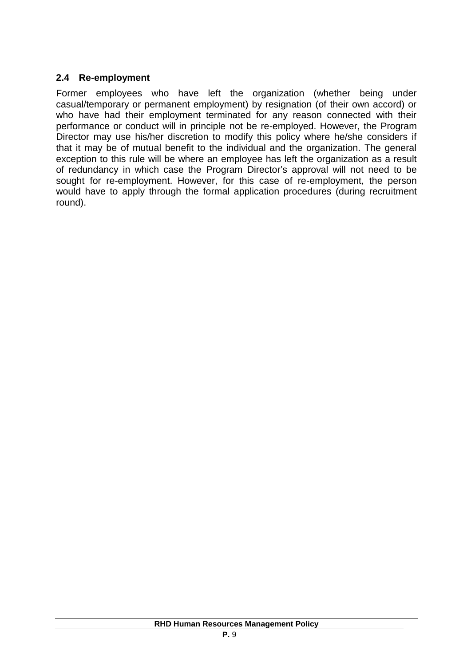#### **2.4 Re-employment**

Former employees who have left the organization (whether being under casual/temporary or permanent employment) by resignation (of their own accord) or who have had their employment terminated for any reason connected with their performance or conduct will in principle not be re-employed. However, the Program Director may use his/her discretion to modify this policy where he/she considers if that it may be of mutual benefit to the individual and the organization. The general exception to this rule will be where an employee has left the organization as a result of redundancy in which case the Program Director's approval will not need to be sought for re-employment. However, for this case of re-employment, the person would have to apply through the formal application procedures (during recruitment round).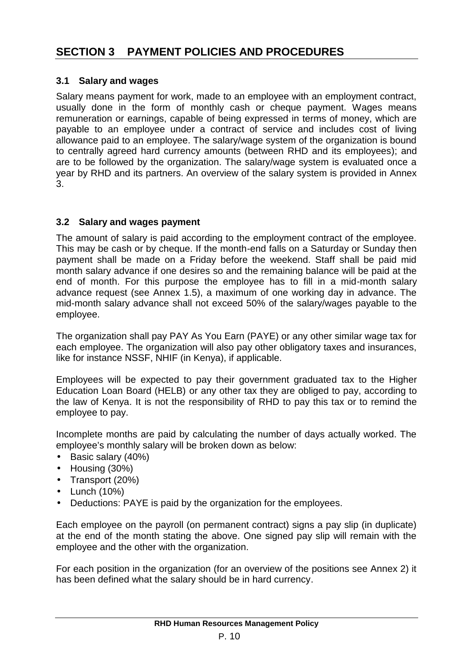# **3.1 Salary and wages**

Salary means payment for work, made to an employee with an employment contract, usually done in the form of monthly cash or cheque payment. Wages means remuneration or earnings, capable of being expressed in terms of money, which are payable to an employee under a contract of service and includes cost of living allowance paid to an employee. The salary/wage system of the organization is bound to centrally agreed hard currency amounts (between RHD and its employees); and are to be followed by the organization. The salary/wage system is evaluated once a year by RHD and its partners. An overview of the salary system is provided in Annex 3.

# **3.2 Salary and wages payment**

The amount of salary is paid according to the employment contract of the employee. This may be cash or by cheque. If the month-end falls on a Saturday or Sunday then payment shall be made on a Friday before the weekend. Staff shall be paid mid month salary advance if one desires so and the remaining balance will be paid at the end of month. For this purpose the employee has to fill in a mid-month salary advance request (see Annex 1.5), a maximum of one working day in advance. The mid-month salary advance shall not exceed 50% of the salary/wages payable to the employee.

The organization shall pay PAY As You Earn (PAYE) or any other similar wage tax for each employee. The organization will also pay other obligatory taxes and insurances, like for instance NSSF, NHIF (in Kenya), if applicable.

Employees will be expected to pay their government graduated tax to the Higher Education Loan Board (HELB) or any other tax they are obliged to pay, according to the law of Kenya. It is not the responsibility of RHD to pay this tax or to remind the employee to pay.

Incomplete months are paid by calculating the number of days actually worked. The employee's monthly salary will be broken down as below:

- Basic salary (40%)
- Housing (30%)
- Transport (20%)
- $\bullet$  Lunch (10%)
- Deductions: PAYE is paid by the organization for the employees.

Each employee on the payroll (on permanent contract) signs a pay slip (in duplicate) at the end of the month stating the above. One signed pay slip will remain with the employee and the other with the organization.

For each position in the organization (for an overview of the positions see Annex 2) it has been defined what the salary should be in hard currency.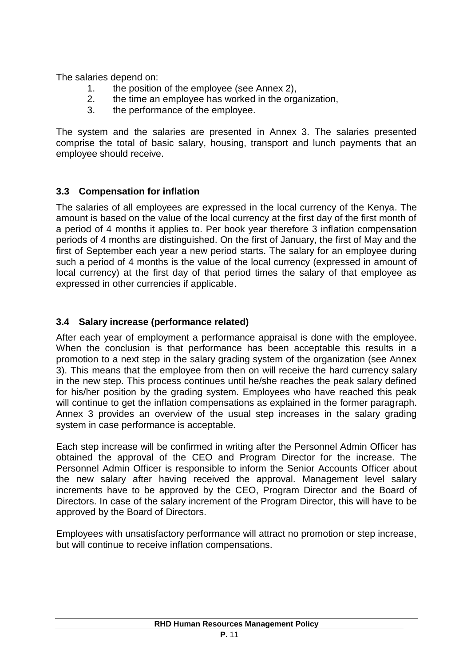The salaries depend on:

- 1. the position of the employee (see Annex 2),
- 2. the time an employee has worked in the organization,
- 3. the performance of the employee.

The system and the salaries are presented in Annex 3. The salaries presented comprise the total of basic salary, housing, transport and lunch payments that an employee should receive.

# **3.3 Compensation for inflation**

The salaries of all employees are expressed in the local currency of the Kenya. The amount is based on the value of the local currency at the first day of the first month of a period of 4 months it applies to. Per book year therefore 3 inflation compensation periods of 4 months are distinguished. On the first of January, the first of May and the first of September each year a new period starts. The salary for an employee during such a period of 4 months is the value of the local currency (expressed in amount of local currency) at the first day of that period times the salary of that employee as expressed in other currencies if applicable.

# **3.4 Salary increase (performance related)**

After each year of employment a performance appraisal is done with the employee. When the conclusion is that performance has been acceptable this results in a promotion to a next step in the salary grading system of the organization (see Annex 3). This means that the employee from then on will receive the hard currency salary in the new step. This process continues until he/she reaches the peak salary defined for his/her position by the grading system. Employees who have reached this peak will continue to get the inflation compensations as explained in the former paragraph. Annex 3 provides an overview of the usual step increases in the salary grading system in case performance is acceptable.

Each step increase will be confirmed in writing after the Personnel Admin Officer has obtained the approval of the CEO and Program Director for the increase. The Personnel Admin Officer is responsible to inform the Senior Accounts Officer about the new salary after having received the approval. Management level salary increments have to be approved by the CEO, Program Director and the Board of Directors. In case of the salary increment of the Program Director, this will have to be approved by the Board of Directors.

Employees with unsatisfactory performance will attract no promotion or step increase, but will continue to receive inflation compensations.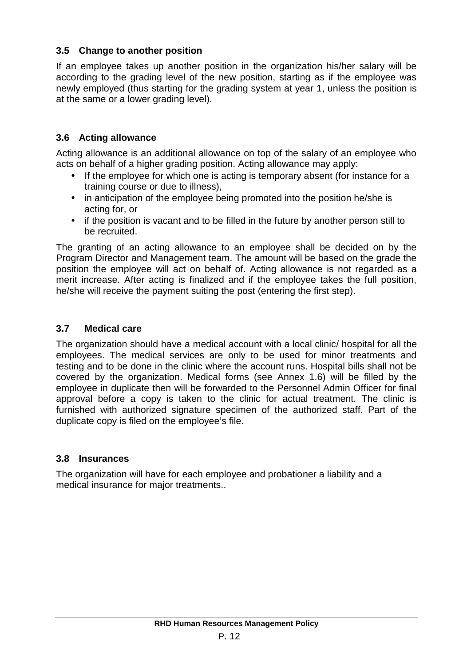# **3.5 Change to another position**

If an employee takes up another position in the organization his/her salary will be according to the grading level of the new position, starting as if the employee was newly employed (thus starting for the grading system at year 1, unless the position is at the same or a lower grading level).

# **3.6 Acting allowance**

Acting allowance is an additional allowance on top of the salary of an employee who acts on behalf of a higher grading position. Acting allowance may apply:

- If the employee for which one is acting is temporary absent (for instance for a training course or due to illness),
- in anticipation of the employee being promoted into the position he/she is acting for, or
- if the position is vacant and to be filled in the future by another person still to be recruited.

The granting of an acting allowance to an employee shall be decided on by the Program Director and Management team. The amount will be based on the grade the position the employee will act on behalf of. Acting allowance is not regarded as a merit increase. After acting is finalized and if the employee takes the full position, he/she will receive the payment suiting the post (entering the first step).

# **3.7 Medical care**

The organization should have a medical account with a local clinic/ hospital for all the employees. The medical services are only to be used for minor treatments and testing and to be done in the clinic where the account runs. Hospital bills shall not be covered by the organization. Medical forms (see Annex 1.6) will be filled by the employee in duplicate then will be forwarded to the Personnel Admin Officer for final approval before a copy is taken to the clinic for actual treatment. The clinic is furnished with authorized signature specimen of the authorized staff. Part of the duplicate copy is filed on the employee's file.

#### **3.8 Insurances**

The organization will have for each employee and probationer a liability and a medical insurance for major treatments..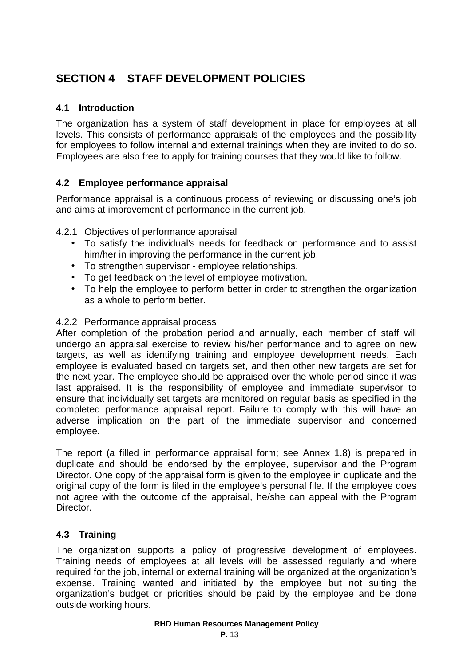# **SECTION 4 STAFF DEVELOPMENT POLICIES**

# **4.1 Introduction**

The organization has a system of staff development in place for employees at all levels. This consists of performance appraisals of the employees and the possibility for employees to follow internal and external trainings when they are invited to do so. Employees are also free to apply for training courses that they would like to follow.

# **4.2 Employee performance appraisal**

Performance appraisal is a continuous process of reviewing or discussing one's job and aims at improvement of performance in the current job.

4.2.1 Objectives of performance appraisal

- To satisfy the individual's needs for feedback on performance and to assist him/her in improving the performance in the current job.
- To strengthen supervisor employee relationships.
- To get feedback on the level of employee motivation.
- To help the employee to perform better in order to strengthen the organization as a whole to perform better.

#### 4.2.2 Performance appraisal process

After completion of the probation period and annually, each member of staff will undergo an appraisal exercise to review his/her performance and to agree on new targets, as well as identifying training and employee development needs. Each employee is evaluated based on targets set, and then other new targets are set for the next year. The employee should be appraised over the whole period since it was last appraised. It is the responsibility of employee and immediate supervisor to ensure that individually set targets are monitored on regular basis as specified in the completed performance appraisal report. Failure to comply with this will have an adverse implication on the part of the immediate supervisor and concerned employee.

The report (a filled in performance appraisal form; see Annex 1.8) is prepared in duplicate and should be endorsed by the employee, supervisor and the Program Director. One copy of the appraisal form is given to the employee in duplicate and the original copy of the form is filed in the employee's personal file. If the employee does not agree with the outcome of the appraisal, he/she can appeal with the Program Director.

#### **4.3 Training**

The organization supports a policy of progressive development of employees. Training needs of employees at all levels will be assessed regularly and where required for the job, internal or external training will be organized at the organization's expense. Training wanted and initiated by the employee but not suiting the organization's budget or priorities should be paid by the employee and be done outside working hours.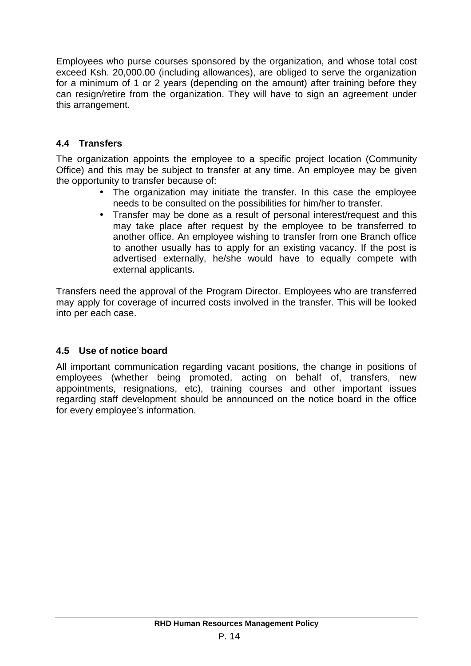Employees who purse courses sponsored by the organization, and whose total cost exceed Ksh. 20,000.00 (including allowances), are obliged to serve the organization for a minimum of 1 or 2 years (depending on the amount) after training before they can resign/retire from the organization. They will have to sign an agreement under this arrangement.

# **4.4 Transfers**

The organization appoints the employee to a specific project location (Community Office) and this may be subject to transfer at any time. An employee may be given the opportunity to transfer because of:

- The organization may initiate the transfer. In this case the employee needs to be consulted on the possibilities for him/her to transfer.
- Transfer may be done as a result of personal interest/request and this may take place after request by the employee to be transferred to another office. An employee wishing to transfer from one Branch office to another usually has to apply for an existing vacancy. If the post is advertised externally, he/she would have to equally compete with external applicants.

Transfers need the approval of the Program Director. Employees who are transferred may apply for coverage of incurred costs involved in the transfer. This will be looked into per each case.

# **4.5 Use of notice board**

All important communication regarding vacant positions, the change in positions of employees (whether being promoted, acting on behalf of, transfers, new appointments, resignations, etc), training courses and other important issues regarding staff development should be announced on the notice board in the office for every employee's information.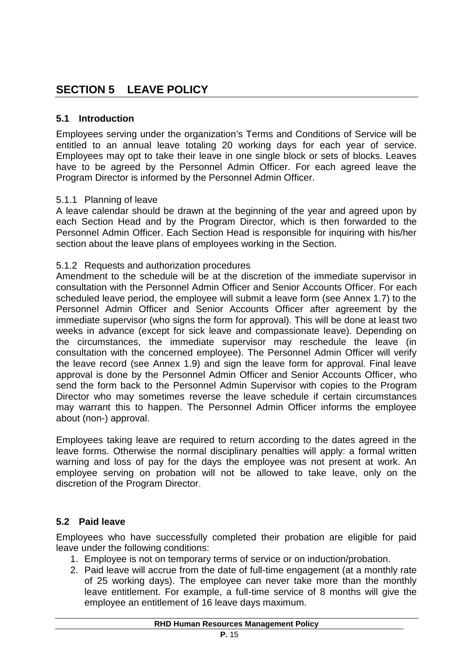# **SECTION 5 LEAVE POLICY**

#### **5.1 Introduction**

Employees serving under the organization's Terms and Conditions of Service will be entitled to an annual leave totaling 20 working days for each year of service. Employees may opt to take their leave in one single block or sets of blocks. Leaves have to be agreed by the Personnel Admin Officer. For each agreed leave the Program Director is informed by the Personnel Admin Officer.

#### 5.1.1 Planning of leave

A leave calendar should be drawn at the beginning of the year and agreed upon by each Section Head and by the Program Director, which is then forwarded to the Personnel Admin Officer. Each Section Head is responsible for inquiring with his/her section about the leave plans of employees working in the Section.

#### 5.1.2 Requests and authorization procedures

Amendment to the schedule will be at the discretion of the immediate supervisor in consultation with the Personnel Admin Officer and Senior Accounts Officer. For each scheduled leave period, the employee will submit a leave form (see Annex 1.7) to the Personnel Admin Officer and Senior Accounts Officer after agreement by the immediate supervisor (who signs the form for approval). This will be done at least two weeks in advance (except for sick leave and compassionate leave). Depending on the circumstances, the immediate supervisor may reschedule the leave (in consultation with the concerned employee). The Personnel Admin Officer will verify the leave record (see Annex 1.9) and sign the leave form for approval. Final leave approval is done by the Personnel Admin Officer and Senior Accounts Officer, who send the form back to the Personnel Admin Supervisor with copies to the Program Director who may sometimes reverse the leave schedule if certain circumstances may warrant this to happen. The Personnel Admin Officer informs the employee about (non-) approval.

Employees taking leave are required to return according to the dates agreed in the leave forms. Otherwise the normal disciplinary penalties will apply: a formal written warning and loss of pay for the days the employee was not present at work. An employee serving on probation will not be allowed to take leave, only on the discretion of the Program Director.

#### **5.2 Paid leave**

Employees who have successfully completed their probation are eligible for paid leave under the following conditions:

- 1. Employee is not on temporary terms of service or on induction/probation.
- 2. Paid leave will accrue from the date of full-time engagement (at a monthly rate of 25 working days). The employee can never take more than the monthly leave entitlement. For example, a full-time service of 8 months will give the employee an entitlement of 16 leave days maximum.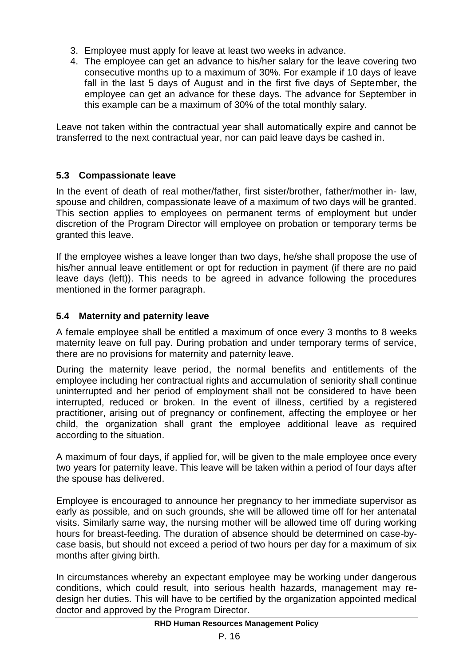- 3. Employee must apply for leave at least two weeks in advance.
- 4. The employee can get an advance to his/her salary for the leave covering two consecutive months up to a maximum of 30%. For example if 10 days of leave fall in the last 5 days of August and in the first five days of September, the employee can get an advance for these days. The advance for September in this example can be a maximum of 30% of the total monthly salary.

Leave not taken within the contractual year shall automatically expire and cannot be transferred to the next contractual year, nor can paid leave days be cashed in.

# **5.3 Compassionate leave**

In the event of death of real mother/father, first sister/brother, father/mother in- law, spouse and children, compassionate leave of a maximum of two days will be granted. This section applies to employees on permanent terms of employment but under discretion of the Program Director will employee on probation or temporary terms be granted this leave.

If the employee wishes a leave longer than two days, he/she shall propose the use of his/her annual leave entitlement or opt for reduction in payment (if there are no paid leave days (left)). This needs to be agreed in advance following the procedures mentioned in the former paragraph.

# **5.4 Maternity and paternity leave**

A female employee shall be entitled a maximum of once every 3 months to 8 weeks maternity leave on full pay. During probation and under temporary terms of service, there are no provisions for maternity and paternity leave.

During the maternity leave period, the normal benefits and entitlements of the employee including her contractual rights and accumulation of seniority shall continue uninterrupted and her period of employment shall not be considered to have been interrupted, reduced or broken. In the event of illness, certified by a registered practitioner, arising out of pregnancy or confinement, affecting the employee or her child, the organization shall grant the employee additional leave as required according to the situation.

A maximum of four days, if applied for, will be given to the male employee once every two years for paternity leave. This leave will be taken within a period of four days after the spouse has delivered.

Employee is encouraged to announce her pregnancy to her immediate supervisor as early as possible, and on such grounds, she will be allowed time off for her antenatal visits. Similarly same way, the nursing mother will be allowed time off during working hours for breast-feeding. The duration of absence should be determined on case-by case basis, but should not exceed a period of two hours per day for a maximum of six months after giving birth.

In circumstances whereby an expectant employee may be working under dangerous conditions, which could result, into serious health hazards, management may re design her duties. This will have to be certified by the organization appointed medical doctor and approved by the Program Director.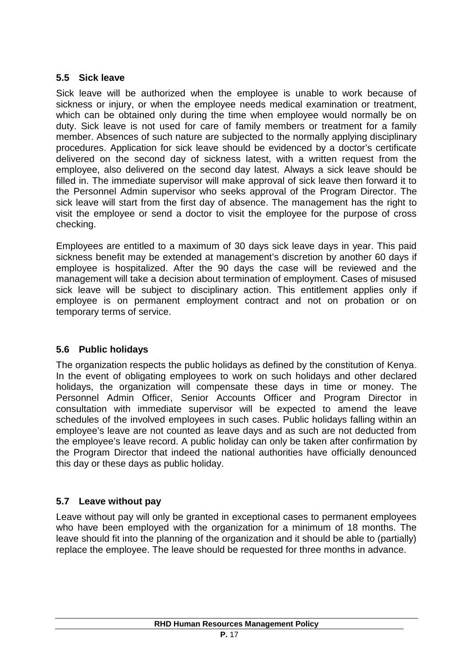# **5.5 Sick leave**

Sick leave will be authorized when the employee is unable to work because of sickness or injury, or when the employee needs medical examination or treatment, which can be obtained only during the time when employee would normally be on duty. Sick leave is not used for care of family members or treatment for a family member. Absences of such nature are subjected to the normally applying disciplinary procedures. Application for sick leave should be evidenced by a doctor's certificate delivered on the second day of sickness latest, with a written request from the employee, also delivered on the second day latest. Always a sick leave should be filled in. The immediate supervisor will make approval of sick leave then forward it to the Personnel Admin supervisor who seeks approval of the Program Director. The sick leave will start from the first day of absence. The management has the right to visit the employee or send a doctor to visit the employee for the purpose of cross checking.

Employees are entitled to a maximum of 30 days sick leave days in year. This paid sickness benefit may be extended at management's discretion by another 60 days if employee is hospitalized. After the 90 days the case will be reviewed and the management will take a decision about termination of employment. Cases of misused sick leave will be subject to disciplinary action. This entitlement applies only if employee is on permanent employment contract and not on probation or on temporary terms of service.

# **5.6 Public holidays**

The organization respects the public holidays as defined by the constitution of Kenya. In the event of obligating employees to work on such holidays and other declared holidays, the organization will compensate these days in time or money. The Personnel Admin Officer, Senior Accounts Officer and Program Director in consultation with immediate supervisor will be expected to amend the leave schedules of the involved employees in such cases. Public holidays falling within an employee's leave are not counted as leave days and as such are not deducted from the employee's leave record. A public holiday can only be taken after confirmation by the Program Director that indeed the national authorities have officially denounced this day or these days as public holiday.

# **5.7 Leave without pay**

Leave without pay will only be granted in exceptional cases to permanent employees who have been employed with the organization for a minimum of 18 months. The leave should fit into the planning of the organization and it should be able to (partially) replace the employee. The leave should be requested for three months in advance.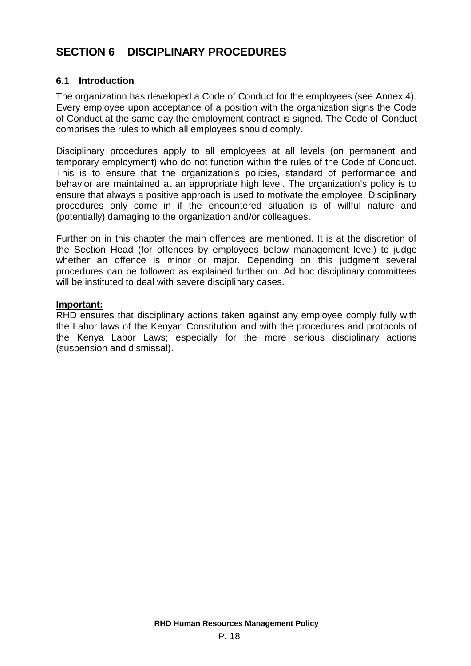# **6.1 Introduction**

The organization has developed a Code of Conduct for the employees (see Annex 4). Every employee upon acceptance of a position with the organization signs the Code of Conduct at the same day the employment contract is signed. The Code of Conduct comprises the rules to which all employees should comply.

Disciplinary procedures apply to all employees at all levels (on permanent and temporary employment) who do not function within the rules of the Code of Conduct. This is to ensure that the organization's policies, standard of performance and behavior are maintained at an appropriate high level. The organization's policy is to ensure that always a positive approach is used to motivate the employee. Disciplinary procedures only come in if the encountered situation is of willful nature and (potentially) damaging to the organization and/or colleagues.

Further on in this chapter the main offences are mentioned. It is at the discretion of the Section Head (for offences by employees below management level) to judge whether an offence is minor or major. Depending on this judgment several procedures can be followed as explained further on. Ad hoc disciplinary committees will be instituted to deal with severe disciplinary cases.

#### **Important:**

RHD ensures that disciplinary actions taken against any employee comply fully with the Labor laws of the Kenyan Constitution and with the procedures and protocols of the Kenya Labor Laws; especially for the more serious disciplinary actions (suspension and dismissal).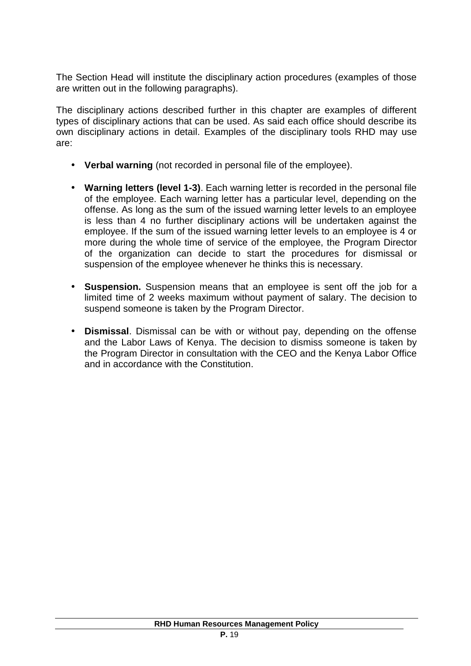The Section Head will institute the disciplinary action procedures (examples of those are written out in the following paragraphs).

The disciplinary actions described further in this chapter are examples of different types of disciplinary actions that can be used. As said each office should describe its own disciplinary actions in detail. Examples of the disciplinary tools RHD may use are:

- **Verbal warning** (not recorded in personal file of the employee).
- **Warning letters (level 1-3)**. Each warning letter is recorded in the personal file of the employee. Each warning letter has a particular level, depending on the offense. As long as the sum of the issued warning letter levels to an employee is less than 4 no further disciplinary actions will be undertaken against the employee. If the sum of the issued warning letter levels to an employee is 4 or more during the whole time of service of the employee, the Program Director of the organization can decide to start the procedures for dismissal or suspension of the employee whenever he thinks this is necessary.
- **Suspension.** Suspension means that an employee is sent off the job for a limited time of 2 weeks maximum without payment of salary. The decision to suspend someone is taken by the Program Director.
- **Dismissal**. Dismissal can be with or without pay, depending on the offense and the Labor Laws of Kenya. The decision to dismiss someone is taken by the Program Director in consultation with the CEO and the Kenya Labor Office and in accordance with the Constitution.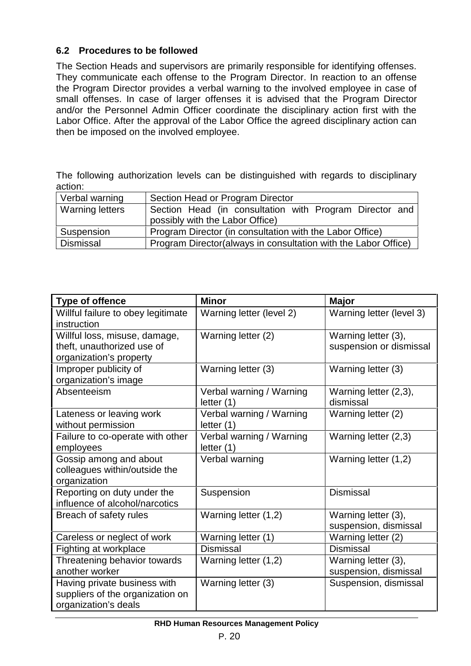### **6.2 Procedures to be followed**

The Section Heads and supervisors are primarily responsible for identifying offenses. They communicate each offense to the Program Director. In reaction to an offense the Program Director provides a verbal warning to the involved employee in case of small offenses. In case of larger offenses it is advised that the Program Director and/or the Personnel Admin Officer coordinate the disciplinary action first with the Labor Office. After the approval of the Labor Office the agreed disciplinary action can then be imposed on the involved employee.

The following authorization levels can be distinguished with regards to disciplinary action:

| Verbal warning   | Section Head or Program Director                                |
|------------------|-----------------------------------------------------------------|
| Warning letters  | Section Head (in consultation with Program Director and         |
|                  | possibly with the Labor Office)                                 |
| Suspension       | Program Director (in consultation with the Labor Office)        |
| <b>Dismissal</b> | Program Director (always in consultation with the Labor Office) |

| <b>Type of offence</b>                                                                   | <b>Minor</b>                             | <b>Major</b>                                   |
|------------------------------------------------------------------------------------------|------------------------------------------|------------------------------------------------|
| Willful failure to obey legitimate<br>instruction                                        | Warning letter (level 2)                 | Warning letter (level 3)                       |
| Willful loss, misuse, damage,<br>theft, unauthorized use of<br>organization's property   | Warning letter (2)                       | Warning letter (3),<br>suspension or dismissal |
| Improper publicity of<br>organization's image                                            | Warning letter (3)                       | Warning letter (3)                             |
| Absenteeism                                                                              | Verbal warning / Warning<br>letter $(1)$ | Warning letter (2,3),<br>dismissal             |
| Lateness or leaving work<br>without permission                                           | Verbal warning / Warning<br>letter $(1)$ | Warning letter (2)                             |
| Failure to co-operate with other<br>employees                                            | Verbal warning / Warning<br>letter $(1)$ | Warning letter (2,3)                           |
| Gossip among and about<br>colleagues within/outside the<br>organization                  | Verbal warning                           | Warning letter (1,2)                           |
| Reporting on duty under the<br>influence of alcohol/narcotics                            | Suspension                               | <b>Dismissal</b>                               |
| Breach of safety rules                                                                   | Warning letter (1,2)                     | Warning letter (3),<br>suspension, dismissal   |
| Careless or neglect of work                                                              | Warning letter (1)                       | Warning letter (2)                             |
| Fighting at workplace                                                                    | <b>Dismissal</b>                         | <b>Dismissal</b>                               |
| Threatening behavior towards<br>another worker                                           | Warning letter (1,2)                     | Warning letter (3),<br>suspension, dismissal   |
| Having private business with<br>suppliers of the organization on<br>organization's deals | Warning letter (3)                       | Suspension, dismissal                          |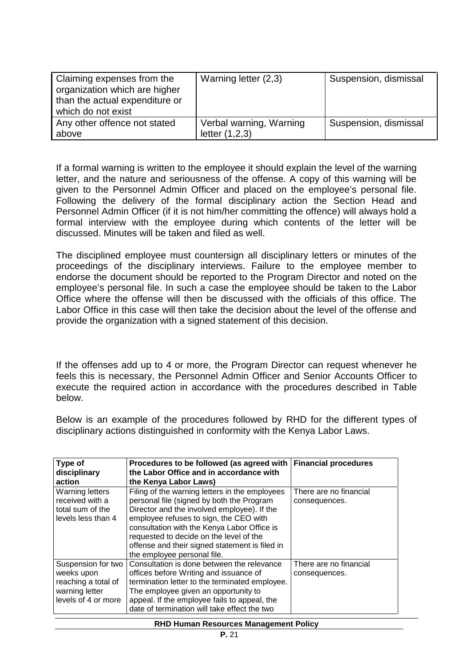| Claiming expenses from the<br>organization which are higher<br>than the actual expenditure or<br>which do not exist | Warning letter (2,3)                        | Suspension, dismissal |
|---------------------------------------------------------------------------------------------------------------------|---------------------------------------------|-----------------------|
| Any other offence not stated<br>above                                                                               | Verbal warning, Warning<br>letter $(1,2,3)$ | Suspension, dismissal |

If a formal warning is written to the employee it should explain the level of the warning letter, and the nature and seriousness of the offense. A copy of this warning will be given to the Personnel Admin Officer and placed on the employee's personal file. Following the delivery of the formal disciplinary action the Section Head and Personnel Admin Officer (if it is not him/her committing the offence) will always hold a formal interview with the employee during which contents of the letter will be discussed. Minutes will be taken and filed as well.

The disciplined employee must countersign all disciplinary letters or minutes of the proceedings of the disciplinary interviews. Failure to the employee member to endorse the document should be reported to the Program Director and noted on the employee's personal file. In such a case the employee should be taken to the Labor Office where the offense will then be discussed with the officials of this office. The Labor Office in this case will then take the decision about the level of the offense and provide the organization with a signed statement of this decision.

If the offenses add up to 4 or more, the Program Director can request whenever he feels this is necessary, the Personnel Admin Officer and Senior Accounts Officer to execute the required action in accordance with the procedures described in Table below.

Below is an example of the procedures followed by RHD for the different types of disciplinary actions distinguished in conformity with the Kenya Labor Laws.

| Type of<br>disciplinary<br>action                                                                | Procedures to be followed (as agreed with<br>the Labor Office and in accordance with<br>the Kenya Labor Laws)                                                                                                                                                                                                                                                   | <b>Financial procedures</b>             |
|--------------------------------------------------------------------------------------------------|-----------------------------------------------------------------------------------------------------------------------------------------------------------------------------------------------------------------------------------------------------------------------------------------------------------------------------------------------------------------|-----------------------------------------|
| <b>Warning letters</b><br>received with a<br>total sum of the<br>levels less than 4              | Filing of the warning letters in the employees<br>personal file (signed by both the Program<br>Director and the involved employee). If the<br>employee refuses to sign, the CEO with<br>consultation with the Kenya Labor Office is<br>requested to decide on the level of the<br>offense and their signed statement is filed in<br>the employee personal file. | There are no financial<br>consequences. |
| Suspension for two<br>weeks upon<br>reaching a total of<br>warning letter<br>levels of 4 or more | Consultation is done between the relevance<br>offices before Writing and issuance of<br>termination letter to the terminated employee.<br>The employee given an opportunity to<br>appeal. If the employee fails to appeal, the<br>date of termination will take effect the two                                                                                  | There are no financial<br>consequences. |

#### **RHD Human Resources Management Policy**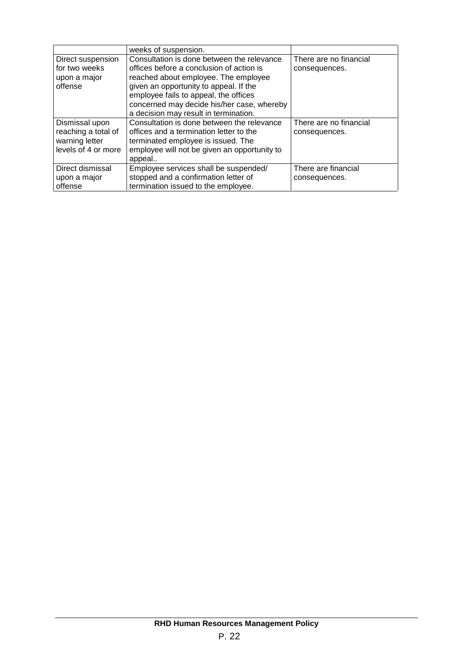|                     | weeks of suspension.                         |                        |
|---------------------|----------------------------------------------|------------------------|
| Direct suspension   | Consultation is done between the relevance   | There are no financial |
| for two weeks       | offices before a conclusion of action is     | consequences.          |
| upon a major        | reached about employee. The employee         |                        |
| offense             | given an opportunity to appeal. If the       |                        |
|                     | employee fails to appeal, the offices        |                        |
|                     | concerned may decide his/her case, whereby   |                        |
|                     | a decision may result in termination.        |                        |
| Dismissal upon      | Consultation is done between the relevance   | There are no financial |
| reaching a total of | offices and a termination letter to the      | consequences.          |
| warning letter      | terminated employee is issued. The           |                        |
| levels of 4 or more | employee will not be given an opportunity to |                        |
|                     | appeal                                       |                        |
| Direct dismissal    | Employee services shall be suspended/        | There are financial    |
| upon a major        | stopped and a confirmation letter of         | consequences.          |
| offense             | termination issued to the employee.          |                        |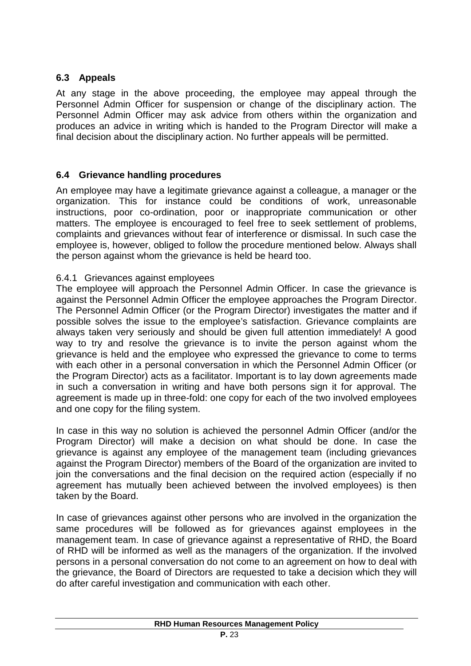# **6.3 Appeals**

At any stage in the above proceeding, the employee may appeal through the Personnel Admin Officer for suspension or change of the disciplinary action. The Personnel Admin Officer may ask advice from others within the organization and produces an advice in writing which is handed to the Program Director will make a final decision about the disciplinary action. No further appeals will be permitted.

#### **6.4 Grievance handling procedures**

An employee may have a legitimate grievance against a colleague, a manager or the organization. This for instance could be conditions of work, unreasonable instructions, poor co-ordination, poor or inappropriate communication or other matters. The employee is encouraged to feel free to seek settlement of problems, complaints and grievances without fear of interference or dismissal. In such case the employee is, however, obliged to follow the procedure mentioned below. Always shall the person against whom the grievance is held be heard too.

#### 6.4.1 Grievances against employees

The employee will approach the Personnel Admin Officer. In case the grievance is against the Personnel Admin Officer the employee approaches the Program Director. The Personnel Admin Officer (or the Program Director) investigates the matter and if possible solves the issue to the employee's satisfaction. Grievance complaints are always taken very seriously and should be given full attention immediately! A good way to try and resolve the grievance is to invite the person against whom the grievance is held and the employee who expressed the grievance to come to terms with each other in a personal conversation in which the Personnel Admin Officer (or the Program Director) acts as a facilitator. Important is to lay down agreements made in such a conversation in writing and have both persons sign it for approval. The agreement is made up in three-fold: one copy for each of the two involved employees and one copy for the filing system.

In case in this way no solution is achieved the personnel Admin Officer (and/or the Program Director) will make a decision on what should be done. In case the grievance is against any employee of the management team (including grievances against the Program Director) members of the Board of the organization are invited to join the conversations and the final decision on the required action (especially if no agreement has mutually been achieved between the involved employees) is then taken by the Board.

In case of grievances against other persons who are involved in the organization the same procedures will be followed as for grievances against employees in the management team. In case of grievance against a representative of RHD, the Board of RHD will be informed as well as the managers of the organization. If the involved persons in a personal conversation do not come to an agreement on how to deal with the grievance, the Board of Directors are requested to take a decision which they will do after careful investigation and communication with each other.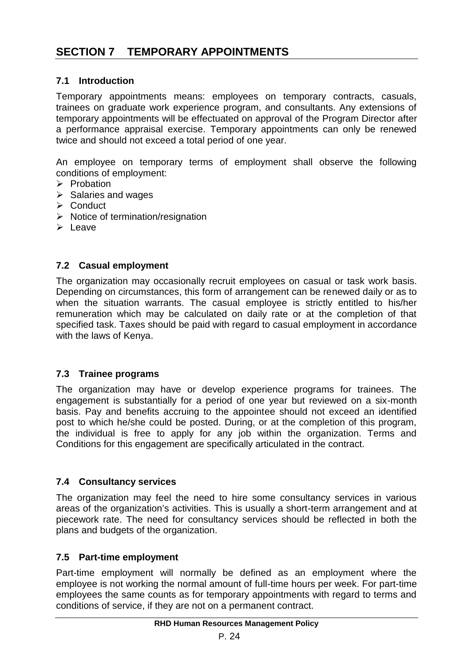#### **7.1 Introduction**

Temporary appointments means: employees on temporary contracts, casuals, trainees on graduate work experience program, and consultants. Any extensions of temporary appointments will be effectuated on approval of the Program Director after a performance appraisal exercise. Temporary appointments can only be renewed twice and should not exceed a total period of one year.

An employee on temporary terms of employment shall observe the following conditions of employment:

- $\triangleright$  Probation
- $\triangleright$  Salaries and wages
- $\triangleright$  Conduct
- $\triangleright$  Notice of termination/resignation
- $\blacktriangleright$  Leave

#### **7.2 Casual employment**

The organization may occasionally recruit employees on casual or task work basis. Depending on circumstances, this form of arrangement can be renewed daily or as to when the situation warrants. The casual employee is strictly entitled to his/her remuneration which may be calculated on daily rate or at the completion of that specified task. Taxes should be paid with regard to casual employment in accordance with the laws of Kenya.

#### **7.3 Trainee programs**

The organization may have or develop experience programs for trainees. The engagement is substantially for a period of one year but reviewed on a six-month basis. Pay and benefits accruing to the appointee should not exceed an identified post to which he/she could be posted. During, or at the completion of this program, the individual is free to apply for any job within the organization. Terms and Conditions for this engagement are specifically articulated in the contract.

#### **7.4 Consultancy services**

The organization may feel the need to hire some consultancy services in various areas of the organization's activities. This is usually a short-term arrangement and at piecework rate. The need for consultancy services should be reflected in both the plans and budgets of the organization.

#### **7.5 Part-time employment**

Part-time employment will normally be defined as an employment where the employee is not working the normal amount of full-time hours per week. For part-time employees the same counts as for temporary appointments with regard to terms and conditions of service, if they are not on a permanent contract.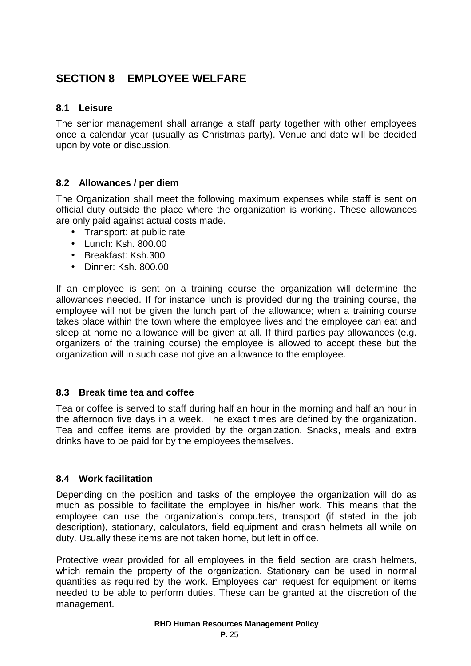# **8.1 Leisure**

The senior management shall arrange a staff party together with other employees once a calendar year (usually as Christmas party). Venue and date will be decided upon by vote or discussion.

# **8.2 Allowances / per diem**

The Organization shall meet the following maximum expenses while staff is sent on official duty outside the place where the organization is working. These allowances are only paid against actual costs made.

- Transport: at public rate
- Lunch: Ksh. 800.00
- Breakfast: Ksh.300
- Dinner: Ksh. 800.00

If an employee is sent on a training course the organization will determine the allowances needed. If for instance lunch is provided during the training course, the employee will not be given the lunch part of the allowance; when a training course takes place within the town where the employee lives and the employee can eat and sleep at home no allowance will be given at all. If third parties pay allowances (e.g. organizers of the training course) the employee is allowed to accept these but the organization will in such case not give an allowance to the employee.

# **8.3 Break time tea and coffee**

Tea or coffee is served to staff during half an hour in the morning and half an hour in the afternoon five days in a week. The exact times are defined by the organization. Tea and coffee items are provided by the organization. Snacks, meals and extra drinks have to be paid for by the employees themselves.

#### **8.4 Work facilitation**

Depending on the position and tasks of the employee the organization will do as much as possible to facilitate the employee in his/her work. This means that the employee can use the organization's computers, transport (if stated in the job description), stationary, calculators, field equipment and crash helmets all while on duty. Usually these items are not taken home, but left in office.

Protective wear provided for all employees in the field section are crash helmets, which remain the property of the organization. Stationary can be used in normal quantities as required by the work. Employees can request for equipment or items needed to be able to perform duties. These can be granted at the discretion of the management.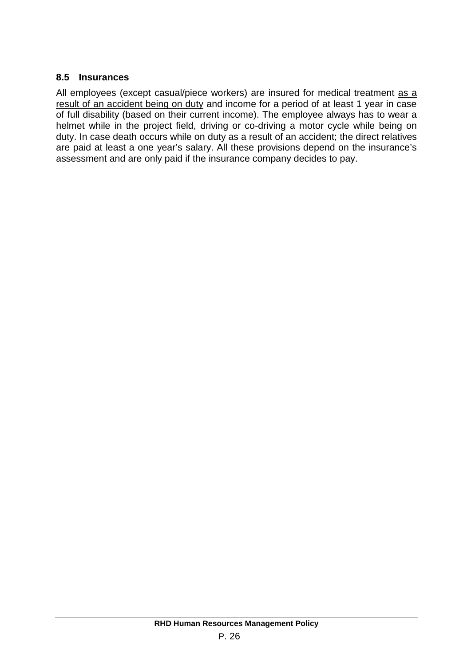# **8.5 Insurances**

All employees (except casual/piece workers) are insured for medical treatment as a result of an accident being on duty and income for a period of at least 1 year in case of full disability (based on their current income). The employee always has to wear a helmet while in the project field, driving or co-driving a motor cycle while being on duty. In case death occurs while on duty as a result of an accident; the direct relatives are paid at least a one year's salary. All these provisions depend on the insurance's assessment and are only paid if the insurance company decides to pay.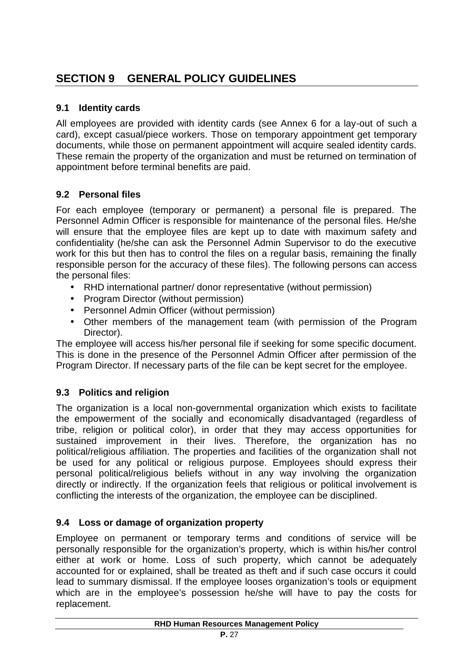# **9.1 Identity cards**

All employees are provided with identity cards (see Annex 6 for a lay-out of such a card), except casual/piece workers. Those on temporary appointment get temporary documents, while those on permanent appointment will acquire sealed identity cards. These remain the property of the organization and must be returned on termination of appointment before terminal benefits are paid.

# **9.2 Personal files**

For each employee (temporary or permanent) a personal file is prepared. The Personnel Admin Officer is responsible for maintenance of the personal files. He/she will ensure that the employee files are kept up to date with maximum safety and confidentiality (he/she can ask the Personnel Admin Supervisor to do the executive work for this but then has to control the files on a regular basis, remaining the finally responsible person for the accuracy of these files). The following persons can access the personal files:

- RHD international partner/ donor representative (without permission)
- Program Director (without permission)
- Personnel Admin Officer (without permission)
- Other members of the management team (with permission of the Program Director).

The employee will access his/her personal file if seeking for some specific document. This is done in the presence of the Personnel Admin Officer after permission of the Program Director. If necessary parts of the file can be kept secret for the employee.

# **9.3 Politics and religion**

The organization is a local non-governmental organization which exists to facilitate the empowerment of the socially and economically disadvantaged (regardless of tribe, religion or political color), in order that they may access opportunities for sustained improvement in their lives. Therefore, the organization has no political/religious affiliation. The properties and facilities of the organization shall not be used for any political or religious purpose. Employees should express their personal political/religious beliefs without in any way involving the organization directly or indirectly. If the organization feels that religious or political involvement is conflicting the interests of the organization, the employee can be disciplined.

# **9.4 Loss or damage of organization property**

Employee on permanent or temporary terms and conditions of service will be personally responsible for the organization's property, which is within his/her control either at work or home. Loss of such property, which cannot be adequately accounted for or explained, shall be treated as theft and if such case occurs it could lead to summary dismissal. If the employee looses organization's tools or equipment which are in the employee's possession he/she will have to pay the costs for replacement.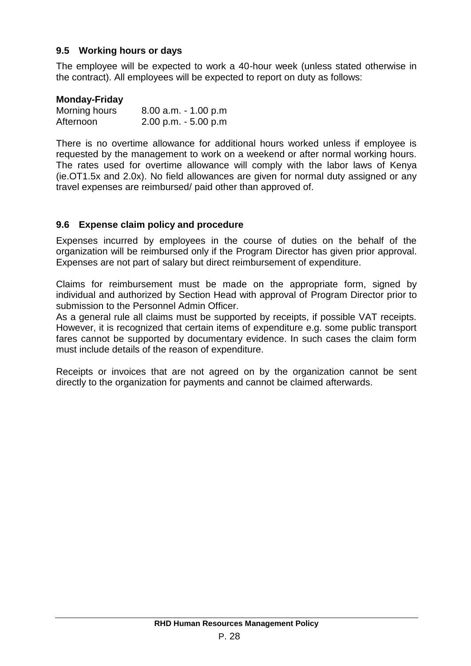### **9.5 Working hours or days**

The employee will be expected to work a 40-hour week (unless stated otherwise in the contract). All employees will be expected to report on duty as follows:

#### **Monday-Friday**

| Morning hours | $8.00$ a.m. $-1.00$ p.m |
|---------------|-------------------------|
| Afternoon     | $2.00$ p.m. $-5.00$ p.m |

There is no overtime allowance for additional hours worked unless if employee is requested by the management to work on a weekend or after normal working hours. The rates used for overtime allowance will comply with the labor laws of Kenya (ie.OT1.5x and 2.0x). No field allowances are given for normal duty assigned or any travel expenses are reimbursed/ paid other than approved of.

#### **9.6 Expense claim policy and procedure**

Expenses incurred by employees in the course of duties on the behalf of the organization will be reimbursed only if the Program Director has given prior approval. Expenses are not part of salary but direct reimbursement of expenditure.

Claims for reimbursement must be made on the appropriate form, signed by individual and authorized by Section Head with approval of Program Director prior to submission to the Personnel Admin Officer.

As a general rule all claims must be supported by receipts, if possible VAT receipts. However, it is recognized that certain items of expenditure e.g. some public transport fares cannot be supported by documentary evidence. In such cases the claim form must include details of the reason of expenditure.

Receipts or invoices that are not agreed on by the organization cannot be sent directly to the organization for payments and cannot be claimed afterwards.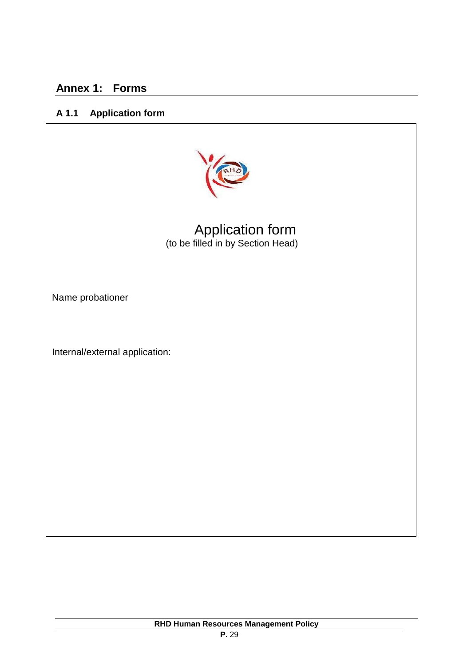# **Annex 1: Forms**

# **A 1.1 Application form**



Application form (to be filled in by Section Head)

Name probationer

Internal/external application: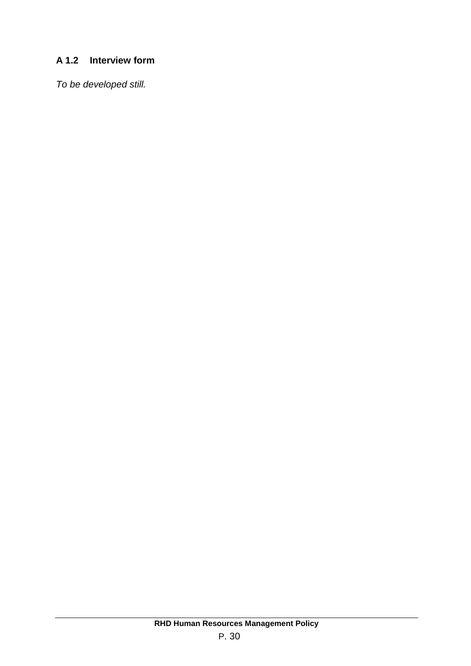# **A 1.2 Interview form**

*To be developed still.*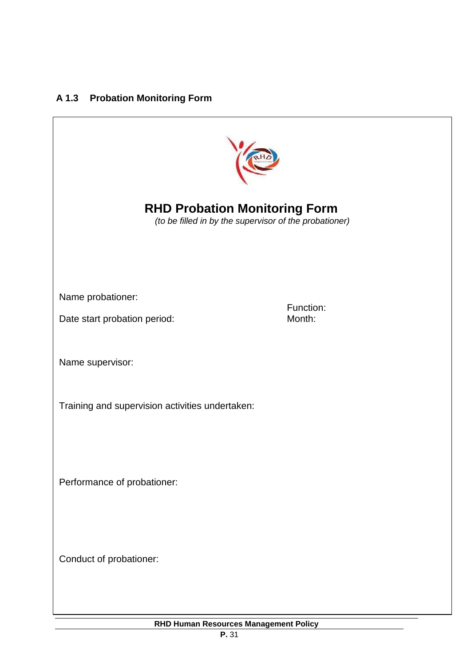# **A 1.3 Probation Monitoring Form**



**RHD Probation Monitoring Form**

*(to be filled in by the supervisor of the probationer)*

Name probationer:

Date start probation period:

Function:<br>Month:

Name supervisor:

Training and supervision activities undertaken:

Performance of probationer:

Conduct of probationer: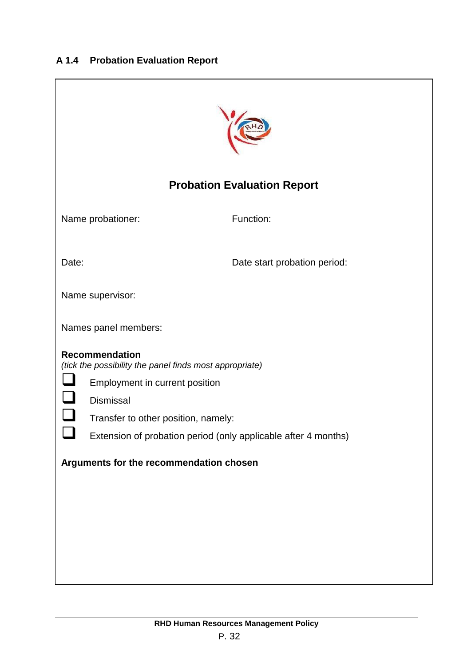# **A 1.4 Probation Evaluation Report**

|       |                                     | <b>Probation Evaluation Report</b>                             |
|-------|-------------------------------------|----------------------------------------------------------------|
|       | Name probationer:                   | Function:                                                      |
| Date: |                                     | Date start probation period:                                   |
|       | Name supervisor:                    |                                                                |
|       | Names panel members:                |                                                                |
|       | <b>Recommendation</b>               | (tick the possibility the panel finds most appropriate)        |
|       | Employment in current position      |                                                                |
|       | Dismissal                           |                                                                |
|       | Transfer to other position, namely: |                                                                |
|       |                                     | Extension of probation period (only applicable after 4 months) |
|       |                                     | Arguments for the recommendation chosen                        |
|       |                                     |                                                                |
|       |                                     |                                                                |
|       |                                     |                                                                |
|       |                                     |                                                                |
|       |                                     |                                                                |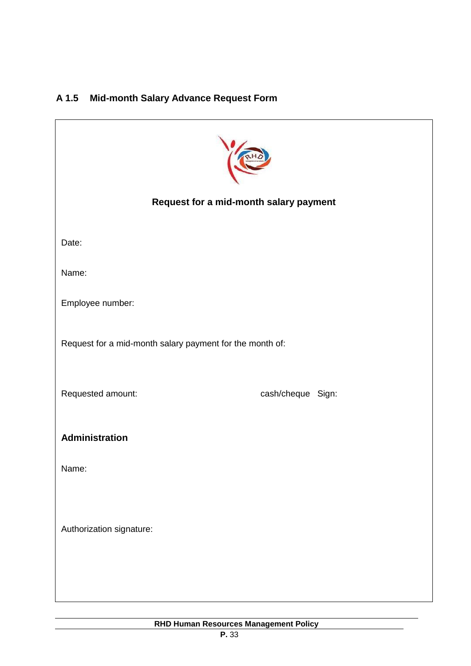# **A 1.5 Mid-month Salary Advance Request Form**

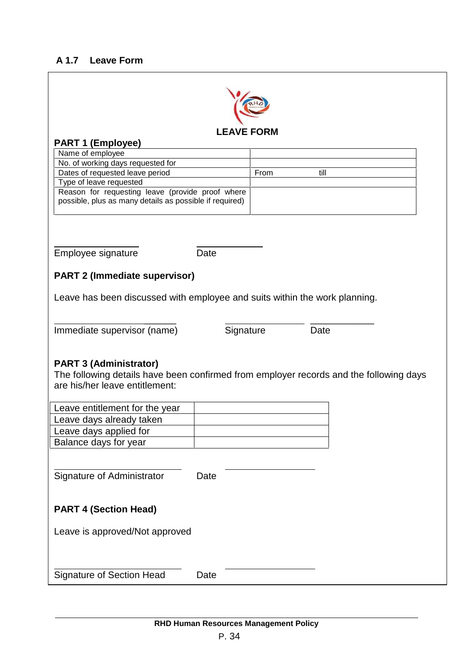# **A 1.7 Leave Form**

|                                                                                                             |      | <b>LEAVE FORM</b> |      |  |
|-------------------------------------------------------------------------------------------------------------|------|-------------------|------|--|
| <b>PART 1 (Employee)</b><br>Name of employee                                                                |      |                   |      |  |
| No. of working days requested for                                                                           |      |                   |      |  |
| Dates of requested leave period                                                                             |      | From              | till |  |
| Type of leave requested                                                                                     |      |                   |      |  |
| Reason for requesting leave (provide proof where<br>possible, plus as many details as possible if required) |      |                   |      |  |
|                                                                                                             |      |                   |      |  |
|                                                                                                             |      |                   |      |  |
|                                                                                                             |      |                   |      |  |
|                                                                                                             |      |                   |      |  |
| Employee signature                                                                                          | Date |                   |      |  |
| <b>PART 2 (Immediate supervisor)</b>                                                                        |      |                   |      |  |
|                                                                                                             |      |                   |      |  |
| Leave has been discussed with employee and suits within the work planning.                                  |      |                   |      |  |
|                                                                                                             |      |                   |      |  |
|                                                                                                             |      |                   |      |  |
|                                                                                                             |      |                   |      |  |
| Immediate supervisor (name)                                                                                 |      | Signature         | Date |  |
|                                                                                                             |      |                   |      |  |
|                                                                                                             |      |                   |      |  |
| <b>PART 3 (Administrator)</b>                                                                               |      |                   |      |  |
| The following details have been confirmed from employer records and the following days                      |      |                   |      |  |
|                                                                                                             |      |                   |      |  |
| are his/her leave entitlement:                                                                              |      |                   |      |  |
| Leave entitlement for the year                                                                              |      |                   |      |  |
| Leave days already taken                                                                                    |      |                   |      |  |
| Leave days applied for                                                                                      |      |                   |      |  |
| Balance days for year                                                                                       |      |                   |      |  |
|                                                                                                             |      |                   |      |  |
|                                                                                                             |      |                   |      |  |
| Signature of Administrator                                                                                  | Date |                   |      |  |
|                                                                                                             |      |                   |      |  |
| <b>PART 4 (Section Head)</b>                                                                                |      |                   |      |  |
|                                                                                                             |      |                   |      |  |
| Leave is approved/Not approved                                                                              |      |                   |      |  |
|                                                                                                             |      |                   |      |  |
|                                                                                                             |      |                   |      |  |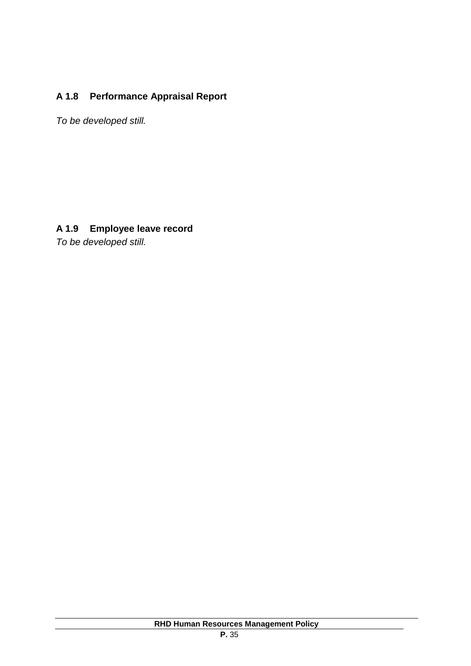# **A 1.8 Performance Appraisal Report**

*To be developed still.*

# **A 1.9 Employee leave record**

*To be developed still.*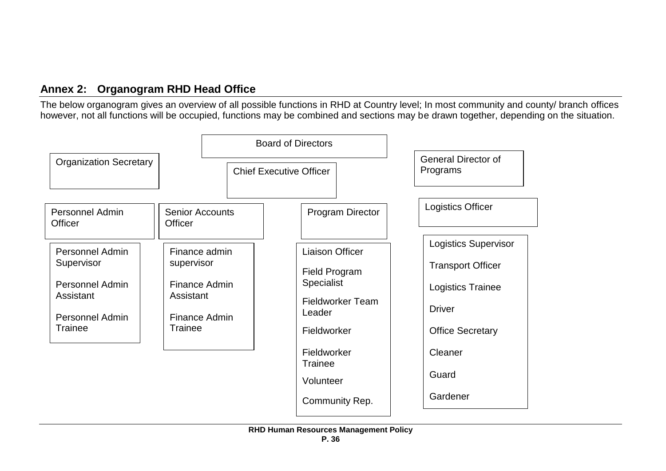# **Annex 2: Organogram RHD Head Office**

The below organogram gives an overview of all possible functions in RHD at Country level; In most community and county/ branch offices however, not all functions will be occupied, functions may be combined and sections may be drawn together, depending on the situation.

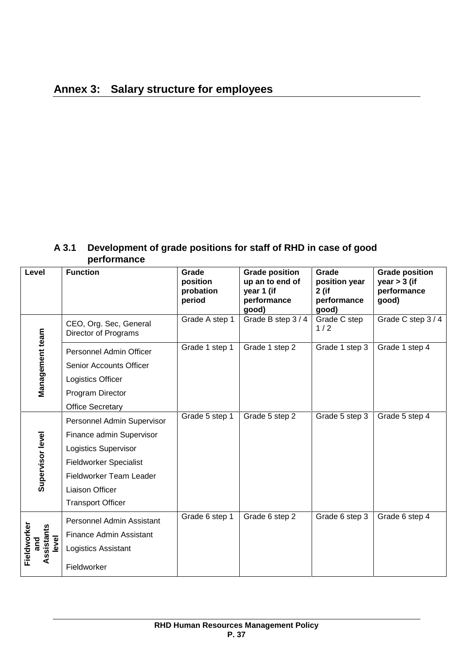# **A 3.1 Development of grade positions for staff of RHD in case of good performance**

| Level                              | <b>Function</b>                                                                                                                                                                                  | Grade<br>position<br>probation<br>period | <b>Grade position</b><br>up an to end of<br>year 1 (if<br>performance<br>good) | Grade<br>position year<br>2 (if<br>performance<br>good) | <b>Grade position</b><br>year $>$ 3 (if<br>performance<br>good) |
|------------------------------------|--------------------------------------------------------------------------------------------------------------------------------------------------------------------------------------------------|------------------------------------------|--------------------------------------------------------------------------------|---------------------------------------------------------|-----------------------------------------------------------------|
|                                    | CEO, Org. Sec, General<br>Director of Programs                                                                                                                                                   | Grade A step 1                           | Grade B step 3/4                                                               | Grade C step<br>1/2                                     | Grade C step 3/4                                                |
| Management team                    | Personnel Admin Officer<br><b>Senior Accounts Officer</b><br>Logistics Officer<br>Program Director                                                                                               | Grade 1 step 1                           | Grade 1 step 2                                                                 | Grade 1 step 3                                          | Grade 1 step 4                                                  |
|                                    | <b>Office Secretary</b>                                                                                                                                                                          |                                          |                                                                                |                                                         |                                                                 |
| Supervisor level                   | Personnel Admin Supervisor<br>Finance admin Supervisor<br><b>Logistics Supervisor</b><br><b>Fieldworker Specialist</b><br>Fieldworker Team Leader<br>Liaison Officer<br><b>Transport Officer</b> | Grade 5 step 1                           | Grade 5 step 2                                                                 | Grade 5 step 3                                          | Grade 5 step 4                                                  |
| Fieldworker<br>Assistants<br>level | Personnel Admin Assistant<br><b>Finance Admin Assistant</b><br>Logistics Assistant<br>Fieldworker                                                                                                | Grade 6 step 1                           | Grade 6 step 2                                                                 | Grade 6 step 3                                          | Grade 6 step 4                                                  |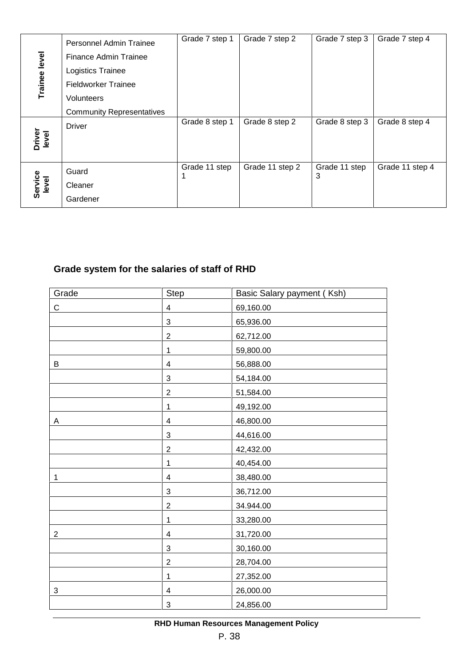| Trainee level    | Personnel Admin Trainee          | Grade 7 step 1 | Grade 7 step 2  | Grade 7 step 3 | Grade 7 step 4  |
|------------------|----------------------------------|----------------|-----------------|----------------|-----------------|
|                  | Finance Admin Trainee            |                |                 |                |                 |
|                  | Logistics Trainee                |                |                 |                |                 |
|                  | <b>Fieldworker Trainee</b>       |                |                 |                |                 |
|                  | <b>Volunteers</b>                |                |                 |                |                 |
|                  | <b>Community Representatives</b> |                |                 |                |                 |
|                  | <b>Driver</b>                    | Grade 8 step 1 | Grade 8 step 2  | Grade 8 step 3 | Grade 8 step 4  |
| Driver<br>level  |                                  |                |                 |                |                 |
|                  | Guard                            | Grade 11 step  | Grade 11 step 2 | Grade 11 step  | Grade 11 step 4 |
| Service<br>level | Cleaner                          |                |                 | 3              |                 |
|                  | Gardener                         |                |                 |                |                 |

# **Grade system for the salaries of staff of RHD**

|                | <b>Finance Admin Trainee</b>                  |                    |                                       |                    |   |
|----------------|-----------------------------------------------|--------------------|---------------------------------------|--------------------|---|
| Trainee level  | Logistics Trainee                             |                    |                                       |                    |   |
|                | <b>Fieldworker Trainee</b>                    |                    |                                       |                    |   |
|                | Volunteers                                    |                    |                                       |                    |   |
|                | <b>Community Representatives</b>              |                    |                                       |                    |   |
|                | <b>Driver</b>                                 | Grade 8 step 1     | Grade 8 step 2                        | Grade 8 step 3     | G |
| level          |                                               |                    |                                       |                    |   |
|                |                                               |                    |                                       |                    |   |
|                | Guard                                         | Grade 11 step<br>1 | Grade 11 step 2                       | Grade 11 step<br>3 | G |
| level          | Cleaner                                       |                    |                                       |                    |   |
|                | Gardener                                      |                    |                                       |                    |   |
|                |                                               |                    |                                       |                    |   |
|                | Grade system for the salaries of staff of RHD |                    |                                       |                    |   |
|                | Grade                                         | <b>Step</b>        | Basic Salary payment (Ksh)            |                    |   |
| $\mathbf C$    | 4                                             |                    | 69,160.00                             |                    |   |
|                | 3                                             |                    | 65,936.00                             |                    |   |
|                | $\overline{2}$                                |                    | 62,712.00                             |                    |   |
|                | 1                                             |                    | 59,800.00                             |                    |   |
| B              | 4                                             |                    | 56,888.00                             |                    |   |
|                | 3<br>$\overline{c}$                           |                    | 54,184.00<br>51,584.00                |                    |   |
|                | 1                                             |                    | 49,192.00                             |                    |   |
| A              | $\overline{4}$                                |                    | 46,800.00                             |                    |   |
|                | 3                                             |                    | 44,616.00                             |                    |   |
|                | $\overline{2}$                                |                    | 42,432.00                             |                    |   |
|                | 1                                             |                    | 40,454.00                             |                    |   |
| 1              | 4                                             |                    | 38,480.00                             |                    |   |
|                | 3                                             |                    | 36,712.00                             |                    |   |
|                | $\overline{2}$                                |                    | 34.944.00                             |                    |   |
|                | 1                                             |                    | 33,280.00                             |                    |   |
| $\overline{2}$ | 4                                             |                    | 31,720.00                             |                    |   |
|                | 3                                             |                    | 30,160.00                             |                    |   |
|                | $\overline{c}$                                |                    | 28,704.00                             |                    |   |
|                | 1                                             |                    | 27,352.00                             |                    |   |
| 3              | 4                                             |                    | 26,000.00                             |                    |   |
|                | 3                                             |                    | 24,856.00                             |                    |   |
|                |                                               |                    | RHD Human Resources Management Policy |                    |   |
|                |                                               | P. 38              |                                       |                    |   |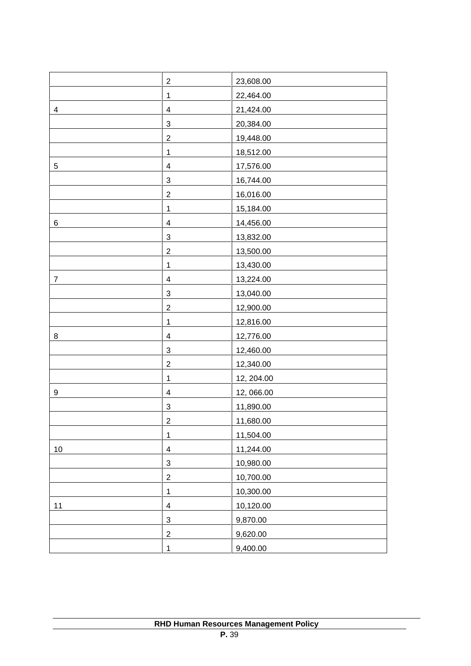|                | $\sqrt{2}$                | 23,608.00  |
|----------------|---------------------------|------------|
|                | $\mathbf 1$               | 22,464.00  |
| 4              | 4                         | 21,424.00  |
|                | 3                         | 20,384.00  |
|                | $\overline{2}$            | 19,448.00  |
|                | $\mathbf{1}$              | 18,512.00  |
| $\sqrt{5}$     | 4                         | 17,576.00  |
|                | 3                         | 16,744.00  |
|                | $\overline{c}$            | 16,016.00  |
|                | $\mathbf{1}$              | 15,184.00  |
| $\,6$          | $\overline{4}$            | 14,456.00  |
|                | $\sqrt{3}$                | 13,832.00  |
|                | $\sqrt{2}$                | 13,500.00  |
|                | $\mathbf{1}$              | 13,430.00  |
| $\overline{7}$ | $\overline{\mathbf{4}}$   | 13,224.00  |
|                | $\sqrt{3}$                | 13,040.00  |
|                | $\sqrt{2}$                | 12,900.00  |
|                | $\mathbf 1$               | 12,816.00  |
| 8              | $\overline{\mathbf{4}}$   | 12,776.00  |
|                | $\sqrt{3}$                | 12,460.00  |
|                | $\overline{c}$            | 12,340.00  |
|                | $\mathbf 1$               | 12, 204.00 |
| 9              | $\overline{\mathbf{4}}$   | 12,066.00  |
|                | $\sqrt{3}$                | 11,890.00  |
|                | $\boldsymbol{2}$          | 11,680.00  |
|                | $\mathbf 1$               | 11,504.00  |
| 10             | $\overline{\mathbf{4}}$   | 11,244.00  |
|                | $\ensuremath{\mathsf{3}}$ | 10,980.00  |
|                | $\boldsymbol{2}$          | 10,700.00  |
|                | $\mathbf 1$               | 10,300.00  |
| 11             | $\overline{\mathbf{4}}$   | 10,120.00  |
|                | $\ensuremath{\mathsf{3}}$ | 9,870.00   |
|                | $\sqrt{2}$                | 9,620.00   |
|                | $\mathbf{1}$              | 9,400.00   |
|                |                           |            |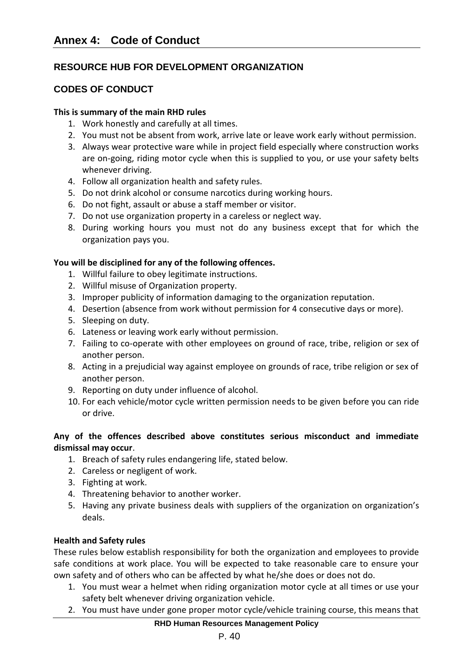# **RESOURCE HUB FOR DEVELOPMENT ORGANIZATION**

# **CODES OF CONDUCT**

#### **This is summary of the main RHD rules**

- 1. Work honestly and carefully at all times.
- 2. You must not be absent from work, arrive late or leave work early without permission.
- 3. Always wear protective ware while in project field especially where construction works are on-going, riding motor cycle when this is supplied to you, or use your safety belts whenever driving.
- 4. Follow all organization health and safety rules.
- 5. Do not drink alcohol or consume narcotics during working hours.
- 6. Do not fight, assault or abuse a staff member or visitor.
- 7. Do not use organization property in a careless or neglect way.
- 8. During working hours you must not do any business except that for which the organization pays you.

#### **You will be disciplined for any of the following offences.**

- 1. Willful failure to obey legitimate instructions.
- 2. Willful misuse of Organization property.
- 3. Improper publicity of information damaging to the organization reputation.
- 4. Desertion (absence from work without permission for 4 consecutive days or more).
- 5. Sleeping on duty.
- 6. Lateness or leaving work early without permission.
- 7. Failing to co-operate with other employees on ground of race, tribe, religion or sex of another person.
- 8. Acting in a prejudicial way against employee on grounds of race, tribe religion or sex of another person.
- 9. Reporting on duty under influence of alcohol.
- 10. For each vehicle/motor cycle written permission needs to be given before you can ride or drive.

#### **Any of the offences described above constitutes serious misconduct and immediate dismissal may occur**.

- 1. Breach of safety rules endangering life, stated below.
- 2. Careless or negligent of work.
- 3. Fighting at work.
- 4. Threatening behavior to another worker.
- 5. Having any private business deals with suppliers of the organization on organization's deals.

#### **Health and Safety rules**

These rules below establish responsibility for both the organization and employees to provide safe conditions at work place. You will be expected to take reasonable care to ensure your own safety and of others who can be affected by what he/she does or does not do.

- 1. You must wear a helmet when riding organization motor cycle at all times or use your safety belt whenever driving organization vehicle.
- 2. You must have under gone proper motor cycle/vehicle training course, this means that

#### **RHD Human Resources Management Policy**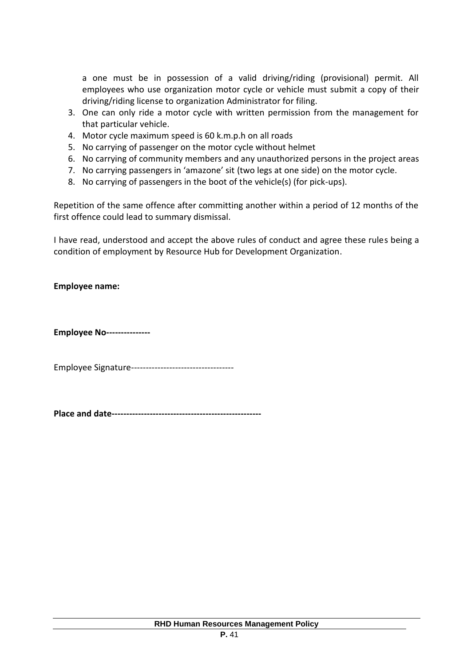a one must be in possession of a valid driving/riding (provisional) permit. All employees who use organization motor cycle or vehicle must submit a copy of their driving/riding license to organization Administrator for filing.

- 3. One can only ride a motor cycle with written permission from the management for that particular vehicle.
- 4. Motor cycle maximum speed is 60 k.m.p.h on all roads
- 5. No carrying of passenger on the motor cycle without helmet
- 6. No carrying of community members and any unauthorized persons in the project areas
- 7. No carrying passengers in 'amazone' sit (two legs at one side) on the motor cycle.
- 8. No carrying of passengers in the boot of the vehicle(s) (for pick-ups).

Repetition of the same offence after committing another within a period of 12 months of the first offence could lead to summary dismissal.

I have read, understood and accept the above rules of conduct and agree these rules being a condition of employment by Resource Hub for Development Organization.

**Employee name:**

**Employee No---------------**

Employee Signature-----------------------------------

**Place and date---------------------------------------------------**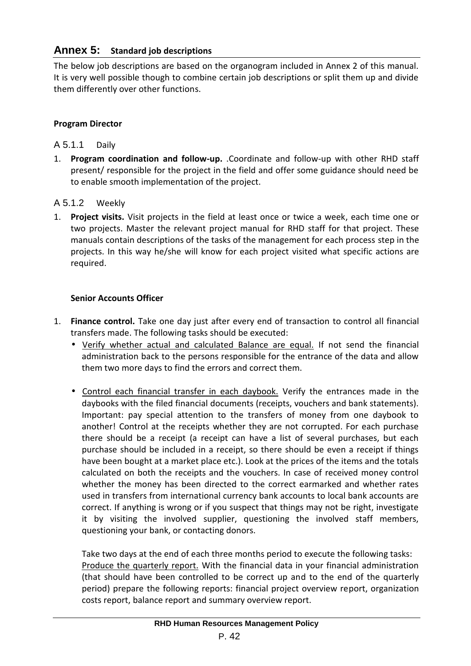# **Annex 5: Standard job descriptions**

The below job descriptions are based on the organogram included in Annex 2 of this manual. It is very well possible though to combine certain job descriptions or split them up and divide them differently over other functions.

#### **Program Director**

#### A 5.1.1 Daily

1. **Program coordination and follow-up.** .Coordinate and follow-up with other RHD staff present/ responsible for the project in the field and offer some guidance should need be to enable smooth implementation of the project.

#### A 5.1.2 Weekly

1. **Project visits.** Visit projects in the field at least once or twice a week, each time one or two projects. Master the relevant project manual for RHD staff for that project. These manuals contain descriptions of the tasks of the management for each process step in the projects. In this way he/she will know for each project visited what specific actions are required.

#### **Senior Accounts Officer**

- 1. **Finance control.** Take one day just after every end of transaction to control all financial transfers made. The following tasks should be executed:
	- Verify whether actual and calculated Balance are equal. If not send the financial administration back to the persons responsible for the entrance of the data and allow them two more days to find the errors and correct them.
	- Control each financial transfer in each daybook. Verify the entrances made in the daybooks with the filed financial documents (receipts, vouchers and bank statements). Important: pay special attention to the transfers of money from one daybook to another! Control at the receipts whether they are not corrupted. For each purchase there should be a receipt (a receipt can have a list of several purchases, but each purchase should be included in a receipt, so there should be even a receipt if things have been bought at a market place etc.). Look at the prices of the items and the totals calculated on both the receipts and the vouchers. In case of received money control whether the money has been directed to the correct earmarked and whether rates used in transfers from international currency bank accounts to local bank accounts are correct. If anything is wrong or if you suspect that things may not be right, investigate it by visiting the involved supplier, questioning the involved staff members, questioning your bank, or contacting donors.

Take two days at the end of each three months period to execute the following tasks: Produce the quarterly report. With the financial data in your financial administration (that should have been controlled to be correct up and to the end of the quarterly period) prepare the following reports: financial project overview report, organization costs report, balance report and summary overview report.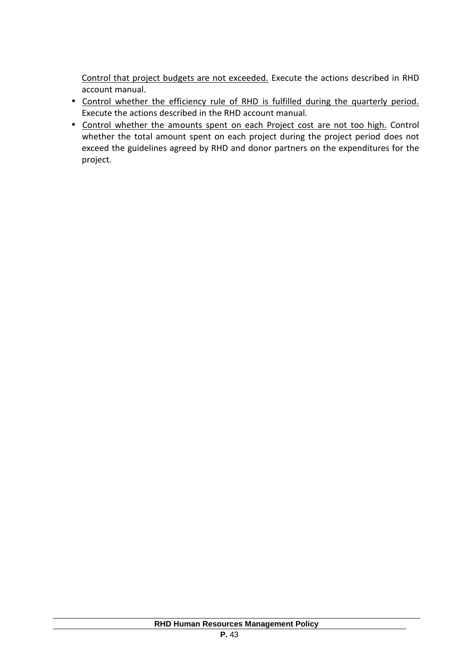Control that project budgets are not exceeded. Execute the actions described in RHD account manual.

- Control whether the efficiency rule of RHD is fulfilled during the quarterly period. Execute the actions described in the RHD account manual.
- Control whether the amounts spent on each Project cost are not too high. Control whether the total amount spent on each project during the project period does not exceed the guidelines agreed by RHD and donor partners on the expenditures for the project.